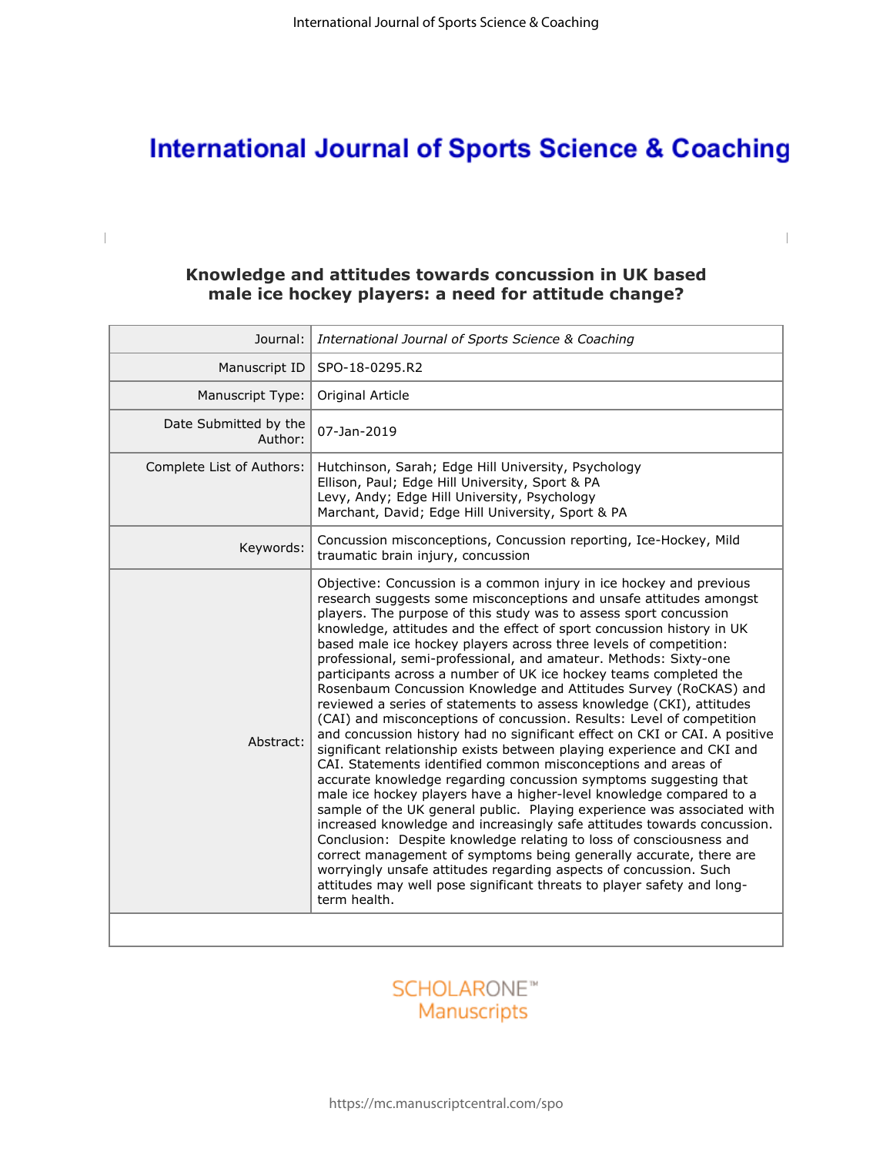# **International Journal of Sports Science & Coaching**

## **Knowledge and attitudes towards concussion in UK based male ice hockey players: a need for attitude change?**

 $\begin{array}{c} \hline \end{array}$ 

| Journal:                         | International Journal of Sports Science & Coaching                                                                                                                                                                                                                                                                                                                                                                                                                                                                                                                                                                                                                                                                                                                                                                                                                                                                                                                                                                                                                                                                                                                                                                                                                                                                                                                                                                                                                                                                                                               |  |
|----------------------------------|------------------------------------------------------------------------------------------------------------------------------------------------------------------------------------------------------------------------------------------------------------------------------------------------------------------------------------------------------------------------------------------------------------------------------------------------------------------------------------------------------------------------------------------------------------------------------------------------------------------------------------------------------------------------------------------------------------------------------------------------------------------------------------------------------------------------------------------------------------------------------------------------------------------------------------------------------------------------------------------------------------------------------------------------------------------------------------------------------------------------------------------------------------------------------------------------------------------------------------------------------------------------------------------------------------------------------------------------------------------------------------------------------------------------------------------------------------------------------------------------------------------------------------------------------------------|--|
| Manuscript ID                    | SPO-18-0295.R2                                                                                                                                                                                                                                                                                                                                                                                                                                                                                                                                                                                                                                                                                                                                                                                                                                                                                                                                                                                                                                                                                                                                                                                                                                                                                                                                                                                                                                                                                                                                                   |  |
| Manuscript Type:                 | Original Article                                                                                                                                                                                                                                                                                                                                                                                                                                                                                                                                                                                                                                                                                                                                                                                                                                                                                                                                                                                                                                                                                                                                                                                                                                                                                                                                                                                                                                                                                                                                                 |  |
| Date Submitted by the<br>Author: | 07-Jan-2019                                                                                                                                                                                                                                                                                                                                                                                                                                                                                                                                                                                                                                                                                                                                                                                                                                                                                                                                                                                                                                                                                                                                                                                                                                                                                                                                                                                                                                                                                                                                                      |  |
| Complete List of Authors:        | Hutchinson, Sarah; Edge Hill University, Psychology<br>Ellison, Paul; Edge Hill University, Sport & PA<br>Levy, Andy; Edge Hill University, Psychology<br>Marchant, David; Edge Hill University, Sport & PA                                                                                                                                                                                                                                                                                                                                                                                                                                                                                                                                                                                                                                                                                                                                                                                                                                                                                                                                                                                                                                                                                                                                                                                                                                                                                                                                                      |  |
| Keywords:                        | Concussion misconceptions, Concussion reporting, Ice-Hockey, Mild<br>traumatic brain injury, concussion                                                                                                                                                                                                                                                                                                                                                                                                                                                                                                                                                                                                                                                                                                                                                                                                                                                                                                                                                                                                                                                                                                                                                                                                                                                                                                                                                                                                                                                          |  |
| Abstract:                        | Objective: Concussion is a common injury in ice hockey and previous<br>research suggests some misconceptions and unsafe attitudes amongst<br>players. The purpose of this study was to assess sport concussion<br>knowledge, attitudes and the effect of sport concussion history in UK<br>based male ice hockey players across three levels of competition:<br>professional, semi-professional, and amateur. Methods: Sixty-one<br>participants across a number of UK ice hockey teams completed the<br>Rosenbaum Concussion Knowledge and Attitudes Survey (RoCKAS) and<br>reviewed a series of statements to assess knowledge (CKI), attitudes<br>(CAI) and misconceptions of concussion. Results: Level of competition<br>and concussion history had no significant effect on CKI or CAI. A positive<br>significant relationship exists between playing experience and CKI and<br>CAI. Statements identified common misconceptions and areas of<br>accurate knowledge regarding concussion symptoms suggesting that<br>male ice hockey players have a higher-level knowledge compared to a<br>sample of the UK general public. Playing experience was associated with<br>increased knowledge and increasingly safe attitudes towards concussion.<br>Conclusion: Despite knowledge relating to loss of consciousness and<br>correct management of symptoms being generally accurate, there are<br>worryingly unsafe attitudes regarding aspects of concussion. Such<br>attitudes may well pose significant threats to player safety and long-<br>term health. |  |
|                                  |                                                                                                                                                                                                                                                                                                                                                                                                                                                                                                                                                                                                                                                                                                                                                                                                                                                                                                                                                                                                                                                                                                                                                                                                                                                                                                                                                                                                                                                                                                                                                                  |  |

# **SCHOLARONE™** Manuscripts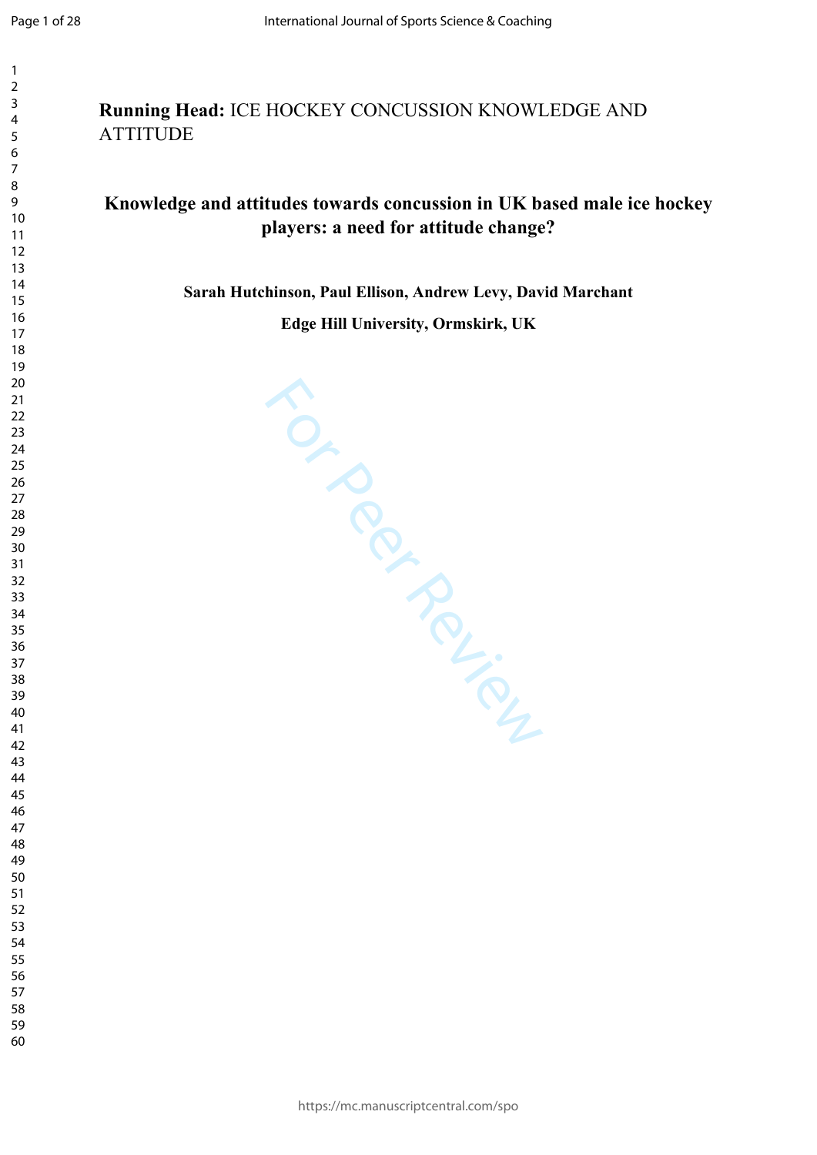$\mathbf{1}$  $\overline{2}$  $\overline{3}$  $\overline{4}$  $\overline{7}$ 

| Running Head: ICE HOCKEY CONCUSSION KNOWLEDGE AND |
|---------------------------------------------------|
| ATTITUDE                                          |

# **Knowledge and attitudes towards concussion in UK based male ice hockey players: a need for attitude change?**

**Sarah Hutchinson, Paul Ellison, Andrew Levy, David Marchant**

**Edge Hill University, Ormskirk, UK**

For Perincipal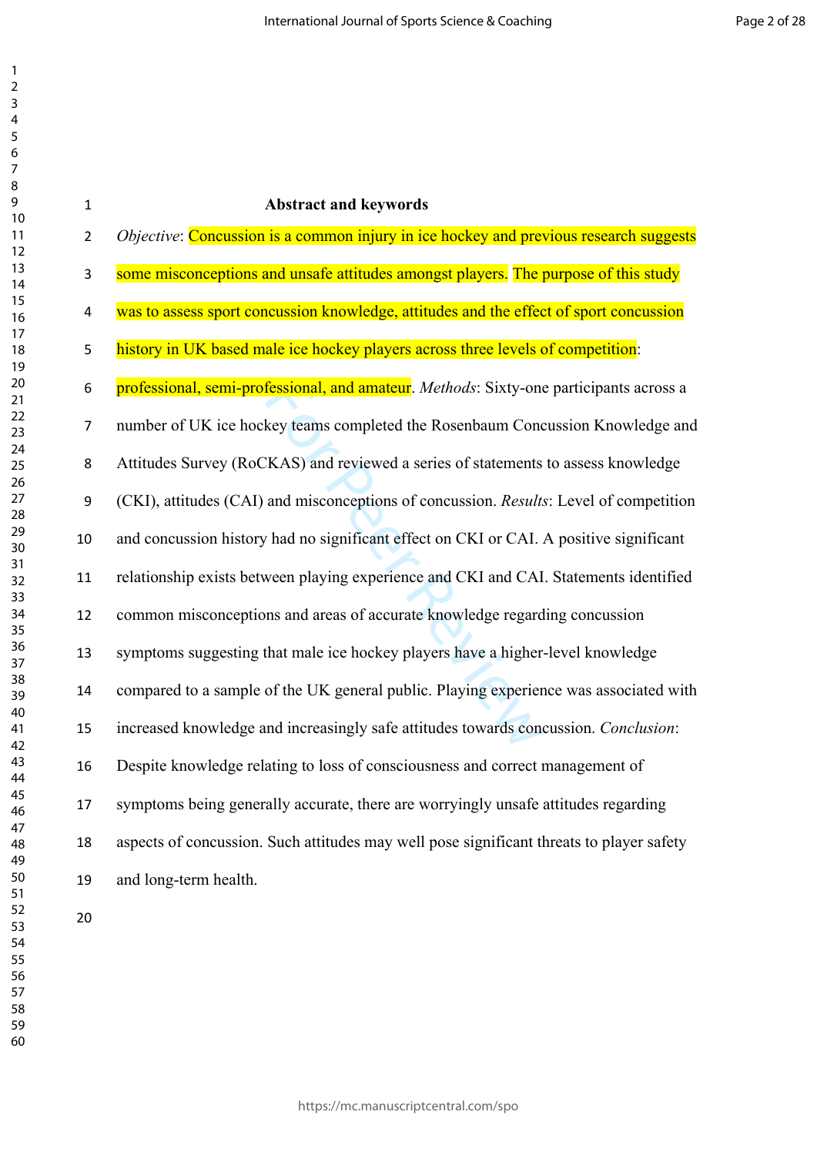| $\mathbf{1}$   | <b>Abstract and keywords</b>                                                             |
|----------------|------------------------------------------------------------------------------------------|
| $\overline{2}$ | Objective: Concussion is a common injury in ice hockey and previous research suggests    |
| 3              | some misconceptions and unsafe attitudes amongst players. The purpose of this study      |
| 4              | was to assess sport concussion knowledge, attitudes and the effect of sport concussion   |
| 5              | history in UK based male ice hockey players across three levels of competition:          |
| 6              | professional, semi-professional, and amateur. Methods: Sixty-one participants across a   |
| 7              | number of UK ice hockey teams completed the Rosenbaum Concussion Knowledge and           |
| 8              | Attitudes Survey (RoCKAS) and reviewed a series of statements to assess knowledge        |
| 9              | (CKI), attitudes (CAI) and misconceptions of concussion. Results: Level of competition   |
| $10\,$         | and concussion history had no significant effect on CKI or CAI. A positive significant   |
| 11             | relationship exists between playing experience and CKI and CAI. Statements identified    |
| 12             | common misconceptions and areas of accurate knowledge regarding concussion               |
| 13             | symptoms suggesting that male ice hockey players have a higher-level knowledge           |
| 14             | compared to a sample of the UK general public. Playing experience was associated with    |
| 15             | increased knowledge and increasingly safe attitudes towards concussion. Conclusion:      |
| 16             | Despite knowledge relating to loss of consciousness and correct management of            |
| 17             | symptoms being generally accurate, there are worryingly unsafe attitudes regarding       |
| 18             | aspects of concussion. Such attitudes may well pose significant threats to player safety |
| 19             | and long-term health.                                                                    |
| 20             |                                                                                          |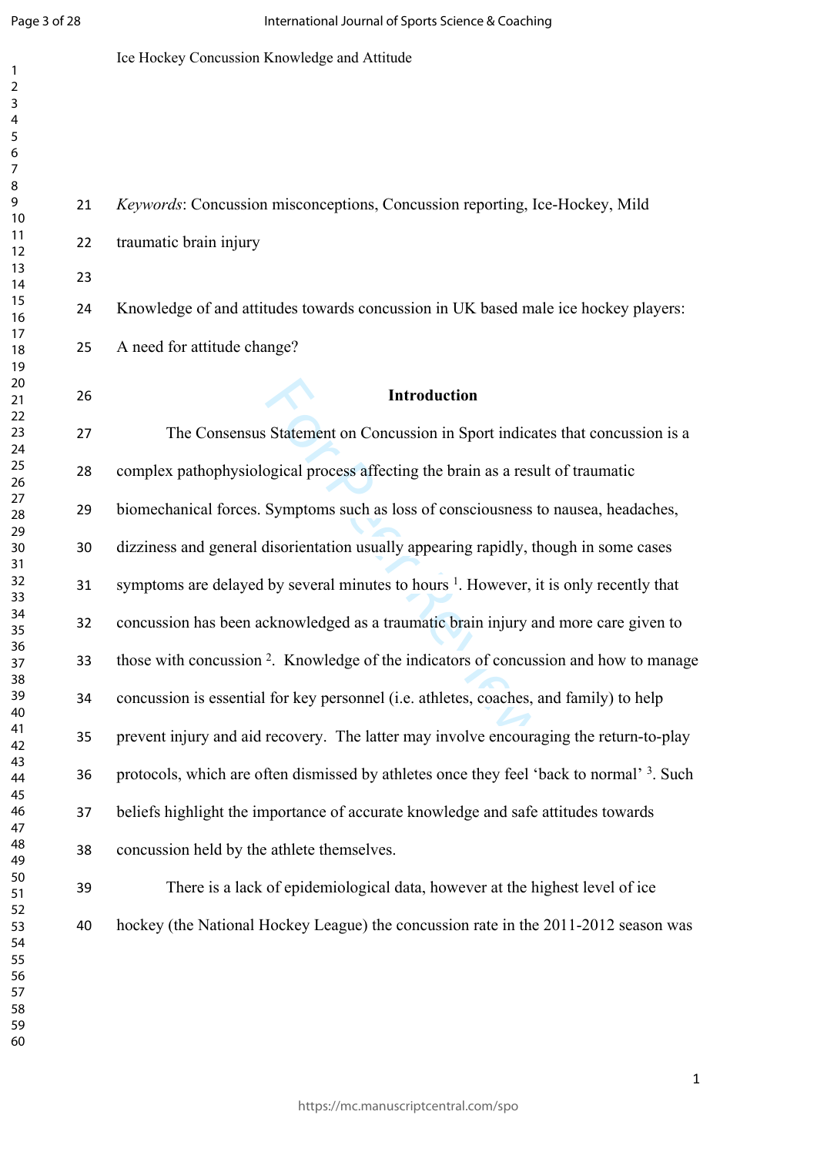$\mathbf{1}$  $\overline{2}$  $\overline{3}$  $\overline{4}$  $\overline{7}$ 

#### Ice Hockey Concussion Knowledge and Attitude

**Introduction**

 traumatic brain injury Knowledge of and attitudes towards concussion in UK based male ice hockey players: A need for attitude change?

*Keywords*: Concussion misconceptions, Concussion reporting, Ice-Hockey, Mild

Introduction<br>Statement on Concussion in Sport indicat<br>ogical process affecting the brain as a resu<br>Symptoms such as loss of consciousness to<br>disorientation usually appearing rapidly, th<br>by several minutes to hours<sup>1</sup>. Howe The Consensus Statement on Concussion in Sport indicates that concussion is a complex pathophysiological process affecting the brain as a result of traumatic biomechanical forces. Symptoms such as loss of consciousness to nausea, headaches, dizziness and general disorientation usually appearing rapidly, though in some cases 31 symptoms are delayed by several minutes to hours <sup>1</sup>. However, it is only recently that concussion has been acknowledged as a traumatic brain injury and more care given to those with concussion 2 . Knowledge of the indicators of concussion and how to manage concussion is essential for key personnel (i.e. athletes, coaches, and family) to help prevent injury and aid recovery. The latter may involve encouraging the return-to-play 36 protocols, which are often dismissed by athletes once they feel 'back to normal' <sup>3</sup>. Such beliefs highlight the importance of accurate knowledge and safe attitudes towards concussion held by the athlete themselves.

 There is a lack of epidemiological data, however at the highest level of ice hockey (the National Hockey League) the concussion rate in the 2011-2012 season was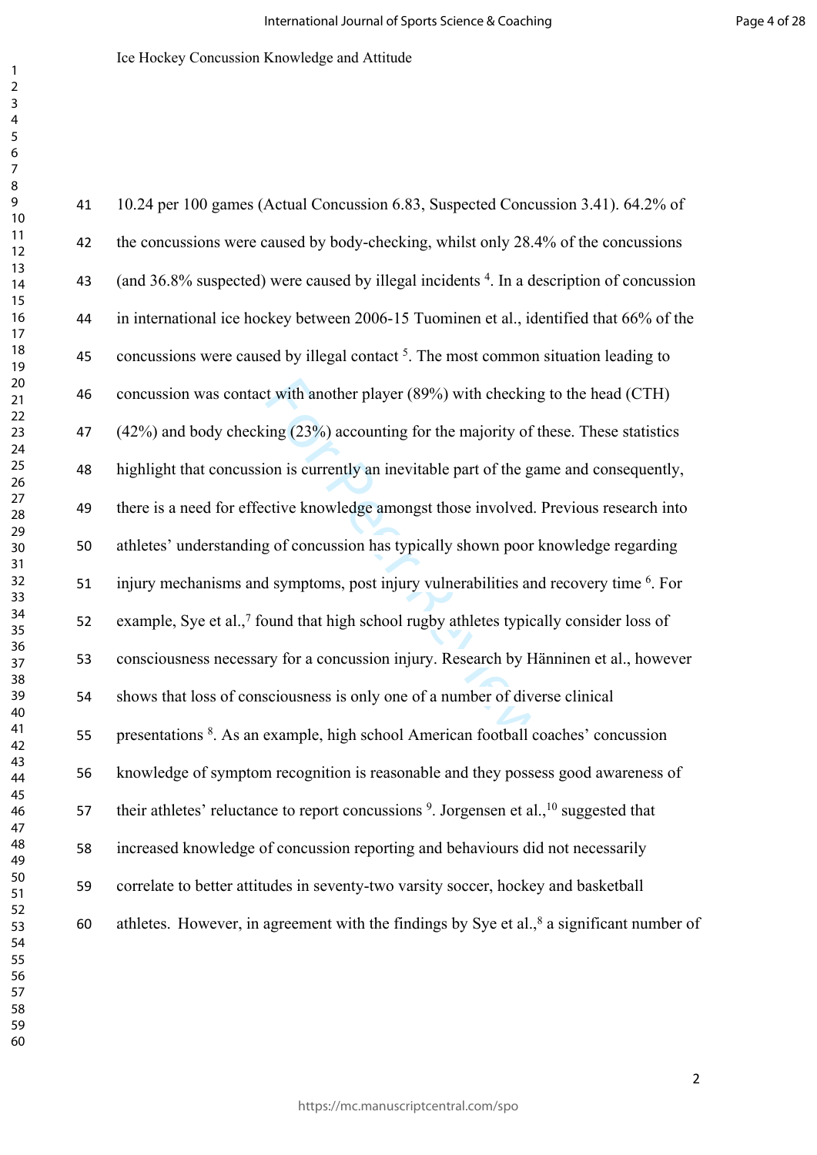t with another player (89%) with checking<br>ing (23%) accounting for the majority of the<br>on is currently an inevitable part of the ganctive knowledge amongst those involved.<br>In the gate of concussion has typically shown poor 10.24 per 100 games (Actual Concussion 6.83, Suspected Concussion 3.41). 64.2% of 42 the concussions were caused by body-checking, whilst only 28.4% of the concussions 43 (and 36.8% suspected) were caused by illegal incidents <sup>4</sup>. In a description of concussion in international ice hockey between 2006-15 Tuominen et al., identified that 66% of the 45 concussions were caused by illegal contact . The most common situation leading to concussion was contact with another player (89%) with checking to the head (CTH) (42%) and body checking (23%) accounting for the majority of these. These statistics highlight that concussion is currently an inevitable part of the game and consequently, there is a need for effective knowledge amongst those involved. Previous research into athletes' understanding of concussion has typically shown poor knowledge regarding 51 injury mechanisms and symptoms, post injury vulnerabilities and recovery time <sup>6</sup>. For 52 example, Sye et al.,<sup>7</sup> found that high school rugby athletes typically consider loss of consciousness necessary for a concussion injury. Research by Hänninen et al., however shows that loss of consciousness is only one of a number of diverse clinical 55 presentations <sup>8</sup>. As an example, high school American football coaches' concussion knowledge of symptom recognition is reasonable and they possess good awareness of 57 their athletes' reluctance to report concussions <sup>9</sup>. Jorgensen et al.,<sup>10</sup> suggested that increased knowledge of concussion reporting and behaviours did not necessarily correlate to better attitudes in seventy-two varsity soccer, hockey and basketball 60 athletes. However, in agreement with the findings by Sye et al., a significant number of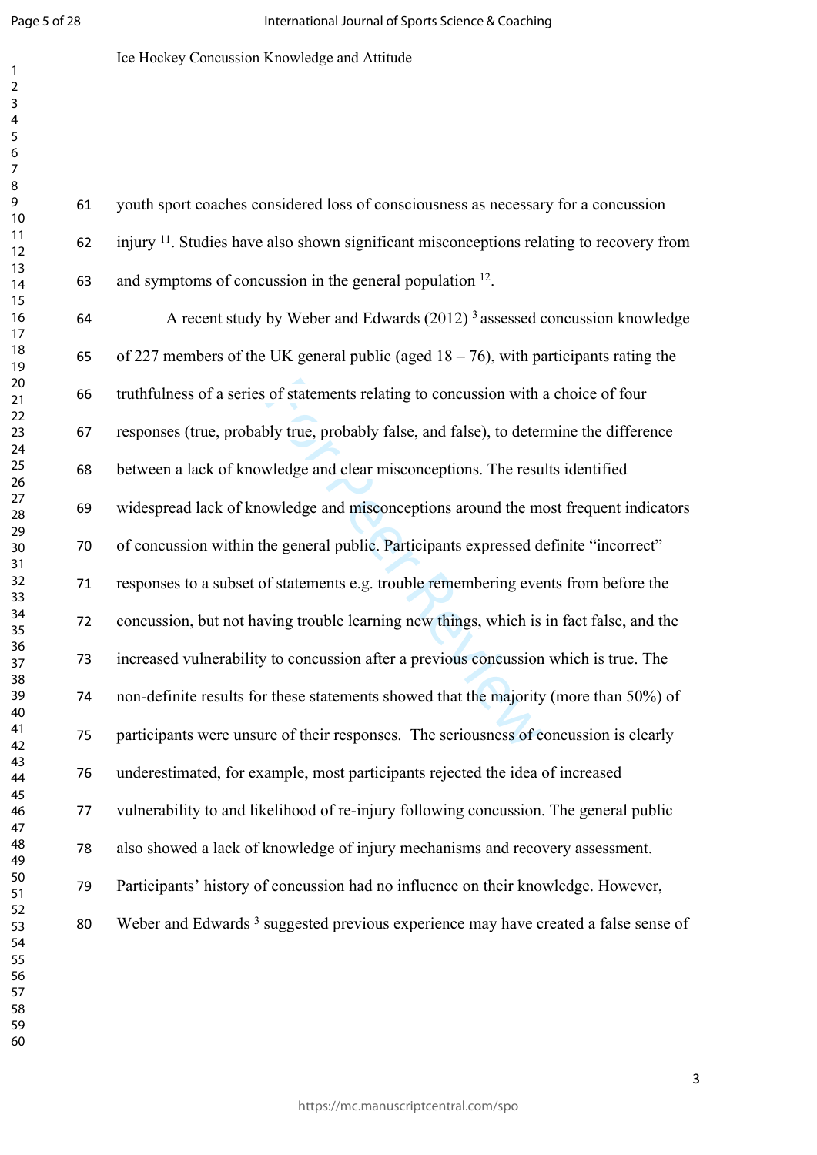$\mathbf{1}$ 

Ice Hockey Concussion Knowledge and Attitude

 youth sport coaches considered loss of consciousness as necessary for a concussion injury <sup>11</sup>. Studies have also shown significant misconceptions relating to recovery from 63 and symptoms of concussion in the general population .

of statements relating to concussion with<br>bly true, probably false, and false), to deter<br>wledge and clear misconceptions. The resu<br>owledge and misconceptions around the m<br>he general public. Participants expressed d<br>of stat A recent study by Weber and Edwards (2012) <sup>3</sup>assessed concussion knowledge 65 of 227 members of the UK general public (aged  $18 - 76$ ), with participants rating the truthfulness of a series of statements relating to concussion with a choice of four responses (true, probably true, probably false, and false), to determine the difference between a lack of knowledge and clear misconceptions. The results identified widespread lack of knowledge and misconceptions around the most frequent indicators of concussion within the general public. Participants expressed definite "incorrect" responses to a subset of statements e.g. trouble remembering events from before the concussion, but not having trouble learning new things, which is in fact false, and the increased vulnerability to concussion after a previous concussion which is true. The non-definite results for these statements showed that the majority (more than 50%) of participants were unsure of their responses. The seriousness of concussion is clearly underestimated, for example, most participants rejected the idea of increased vulnerability to and likelihood of re-injury following concussion. The general public also showed a lack of knowledge of injury mechanisms and recovery assessment. Participants' history of concussion had no influence on their knowledge. However, 80 Weber and Edwards<sup>3</sup> suggested previous experience may have created a false sense of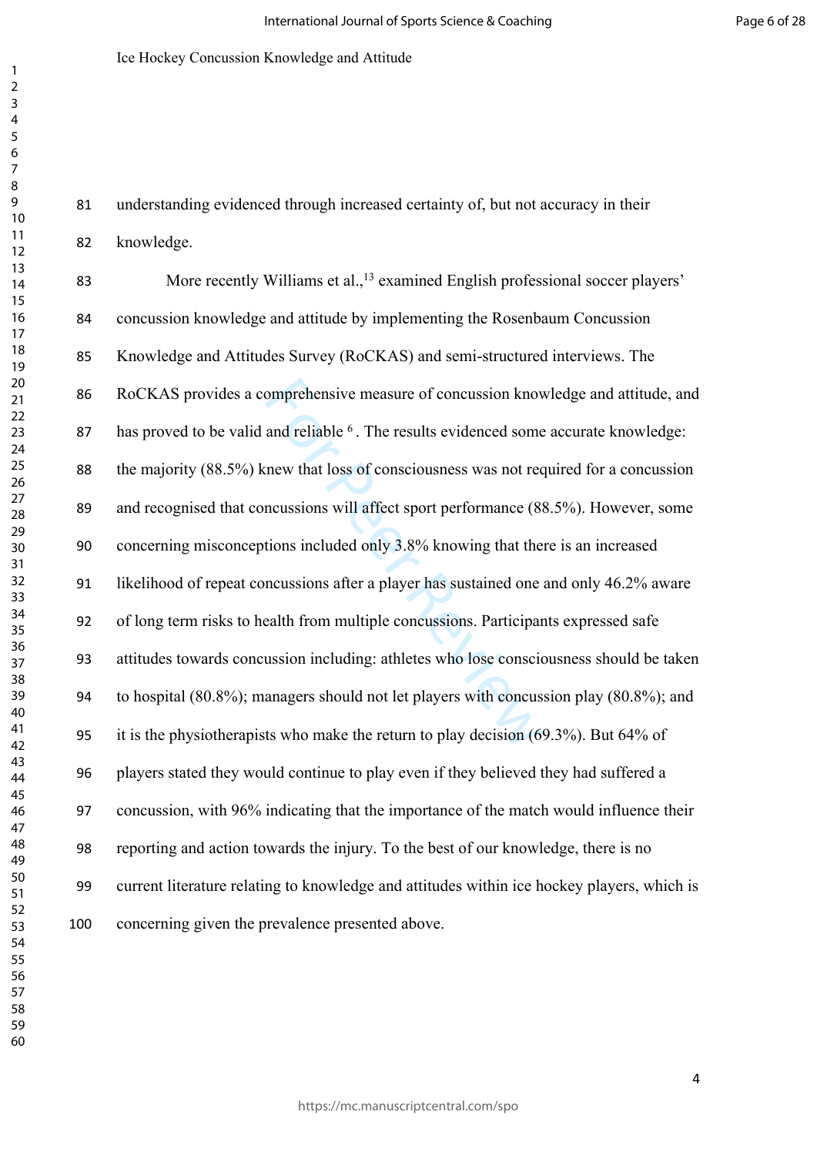understanding evidenced through increased certainty of, but not accuracy in their knowledge.

omprehensive measure of concussion know<br>and reliable <sup>6</sup>. The results evidenced some<br>mew that loss of consciousness was not rec<br>ncussions will affect sport performance (8<br>tions included only 3.8% knowing that the<br>ncussions More recently Williams et al.,<sup>13</sup> examined English professional soccer players' concussion knowledge and attitude by implementing the Rosenbaum Concussion Knowledge and Attitudes Survey (RoCKAS) and semi-structured interviews. The RoCKAS provides a comprehensive measure of concussion knowledge and attitude, and 87 has proved to be valid and reliable <sup>6</sup>. The results evidenced some accurate knowledge: the majority (88.5%) knew that loss of consciousness was not required for a concussion and recognised that concussions will affect sport performance (88.5%). However, some concerning misconceptions included only 3.8% knowing that there is an increased likelihood of repeat concussions after a player has sustained one and only 46.2% aware of long term risks to health from multiple concussions. Participants expressed safe attitudes towards concussion including: athletes who lose consciousness should be taken to hospital (80.8%); managers should not let players with concussion play (80.8%); and it is the physiotherapists who make the return to play decision (69.3%). But 64% of players stated they would continue to play even if they believed they had suffered a concussion, with 96% indicating that the importance of the match would influence their reporting and action towards the injury. To the best of our knowledge, there is no current literature relating to knowledge and attitudes within ice hockey players, which is concerning given the prevalence presented above.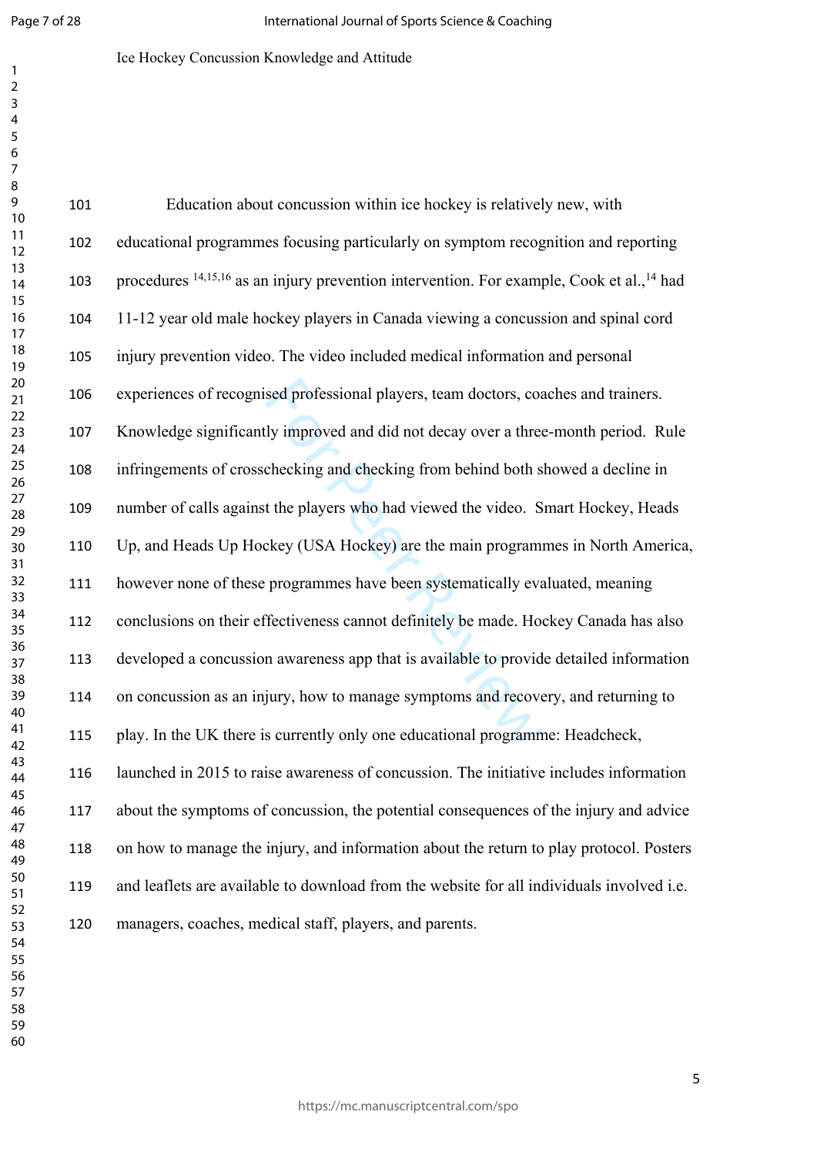$\mathbf{1}$  $\overline{2}$ 

## Ice Hockey Concussion Knowledge and Attitude

| 101 | Education about concussion within ice hockey is relatively new, with                                             |
|-----|------------------------------------------------------------------------------------------------------------------|
| 102 | educational programmes focusing particularly on symptom recognition and reporting                                |
| 103 | procedures <sup>14,15,16</sup> as an injury prevention intervention. For example, Cook et al., <sup>14</sup> had |
| 104 | 11-12 year old male hockey players in Canada viewing a concussion and spinal cord                                |
| 105 | injury prevention video. The video included medical information and personal                                     |
| 106 | experiences of recognised professional players, team doctors, coaches and trainers.                              |
| 107 | Knowledge significantly improved and did not decay over a three-month period. Rule                               |
| 108 | infringements of crosschecking and checking from behind both showed a decline in                                 |
| 109 | number of calls against the players who had viewed the video. Smart Hockey, Heads                                |
| 110 | Up, and Heads Up Hockey (USA Hockey) are the main programmes in North America,                                   |
| 111 | however none of these programmes have been systematically evaluated, meaning                                     |
| 112 | conclusions on their effectiveness cannot definitely be made. Hockey Canada has also                             |
| 113 | developed a concussion awareness app that is available to provide detailed information                           |
| 114 | on concussion as an injury, how to manage symptoms and recovery, and returning to                                |
| 115 | play. In the UK there is currently only one educational programme: Headcheck,                                    |
| 116 | launched in 2015 to raise awareness of concussion. The initiative includes information                           |
| 117 | about the symptoms of concussion, the potential consequences of the injury and advice                            |
| 118 | on how to manage the injury, and information about the return to play protocol. Posters                          |
| 119 | and leaflets are available to download from the website for all individuals involved i.e.                        |
| 120 | managers, coaches, medical staff, players, and parents.                                                          |
|     |                                                                                                                  |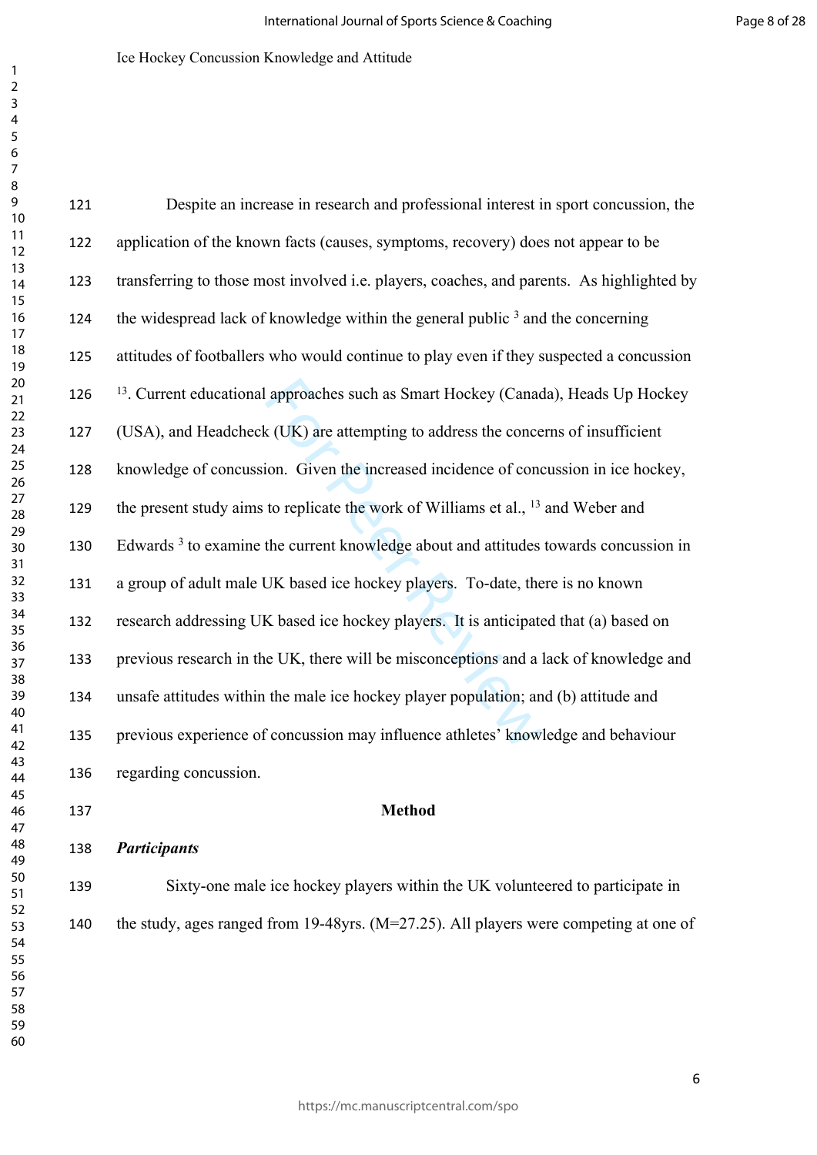| 121 | Despite an increase in research and professional interest in sport concussion, the              |
|-----|-------------------------------------------------------------------------------------------------|
| 122 | application of the known facts (causes, symptoms, recovery) does not appear to be               |
| 123 | transferring to those most involved i.e. players, coaches, and parents. As highlighted by       |
| 124 | the widespread lack of knowledge within the general public $3$ and the concerning               |
| 125 | attitudes of footballers who would continue to play even if they suspected a concussion         |
| 126 | <sup>13</sup> . Current educational approaches such as Smart Hockey (Canada), Heads Up Hockey   |
| 127 | (USA), and Headcheck (UK) are attempting to address the concerns of insufficient                |
| 128 | knowledge of concussion. Given the increased incidence of concussion in ice hockey,             |
| 129 | the present study aims to replicate the work of Williams et al., <sup>13</sup> and Weber and    |
| 130 | Edwards <sup>3</sup> to examine the current knowledge about and attitudes towards concussion in |
| 131 | a group of adult male UK based ice hockey players. To-date, there is no known                   |
| 132 | research addressing UK based ice hockey players. It is anticipated that (a) based on            |
| 133 | previous research in the UK, there will be misconceptions and a lack of knowledge and           |
| 134 | unsafe attitudes within the male ice hockey player population; and (b) attitude and             |
| 135 | previous experience of concussion may influence athletes' knowledge and behaviour               |
| 136 | regarding concussion.                                                                           |
| 137 | <b>Method</b>                                                                                   |
| 138 | <b>Participants</b>                                                                             |
| 139 | Sixty-one male ice hockey players within the UK volunteered to participate in                   |
| 140 | the study, ages ranged from 19-48yrs. $(M=27.25)$ . All players were competing at one of        |
|     |                                                                                                 |
|     |                                                                                                 |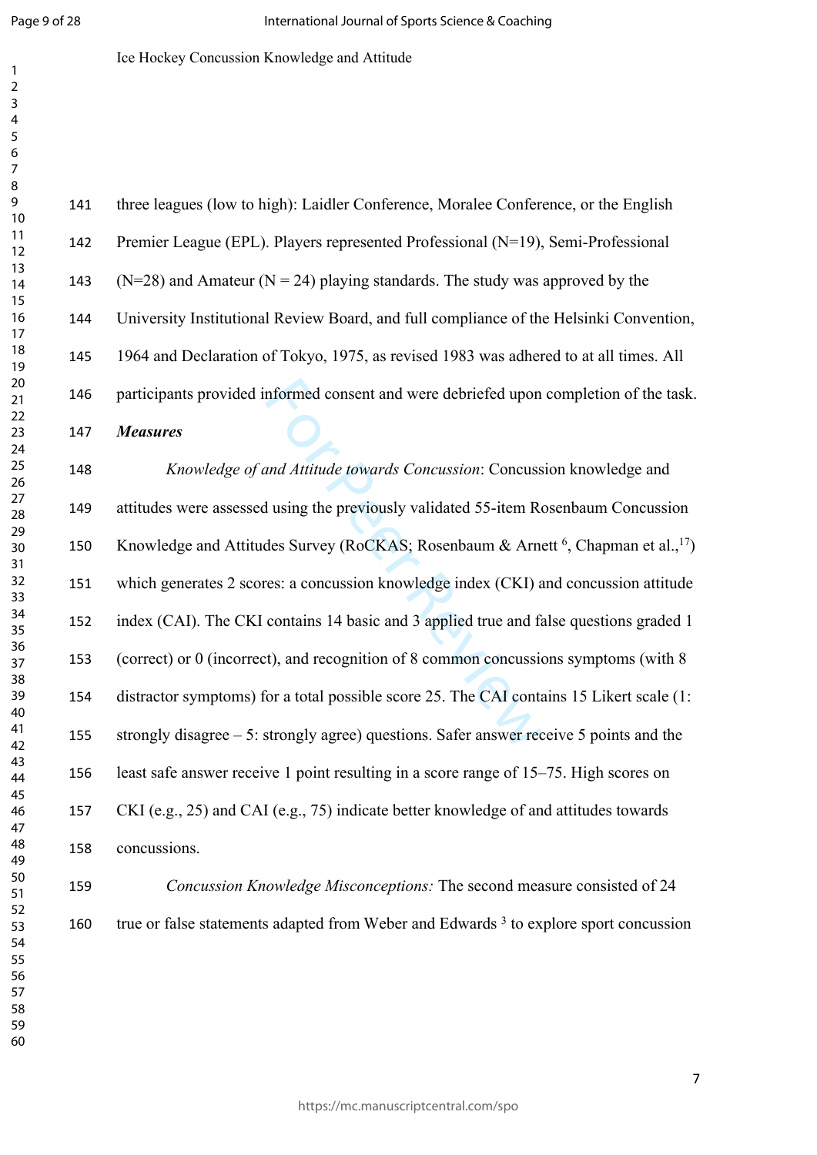$\mathbf{1}$  $\overline{2}$  $\overline{3}$  $\overline{4}$  $\overline{7}$ 

Ice Hockey Concussion Knowledge and Attitude

nformed consent and were debriefed upon<br>and Attitude towards Concussion: Concuss<br>1 using the previously validated 55-item Re<br>des Survey (RoCKAS; Rosenbaum & Arne<br>res: a concussion knowledge index (CKI) a<br>contains 14 basic three leagues (low to high): Laidler Conference, Moralee Conference, or the English Premier League (EPL). Players represented Professional (N=19), Semi-Professional 143 (N=28) and Amateur (N = 24) playing standards. The study was approved by the University Institutional Review Board, and full compliance of the Helsinki Convention, 1964 and Declaration of Tokyo, 1975, as revised 1983 was adhered to at all times. All participants provided informed consent and were debriefed upon completion of the task. *Measures Knowledge of and Attitude towards Concussion*: Concussion knowledge and attitudes were assessed using the previously validated 55-item Rosenbaum Concussion 150 Knowledge and Attitudes Survey (RoCKAS; Rosenbaum & Arnett<sup>6</sup>, Chapman et al.,<sup>17</sup>) which generates 2 scores: a concussion knowledge index (CKI) and concussion attitude index (CAI). The CKI contains 14 basic and 3 applied true and false questions graded 1 (correct) or 0 (incorrect), and recognition of 8 common concussions symptoms (with 8 distractor symptoms) for a total possible score 25. The CAI contains 15 Likert scale (1: strongly disagree – 5: strongly agree) questions. Safer answer receive 5 points and the least safe answer receive 1 point resulting in a score range of 15–75. High scores on CKI (e.g., 25) and CAI (e.g., 75) indicate better knowledge of and attitudes towards concussions.

 *Concussion Knowledge Misconceptions:* The second measure consisted of 24 160 true or false statements adapted from Weber and Edwards<sup>3</sup> to explore sport concussion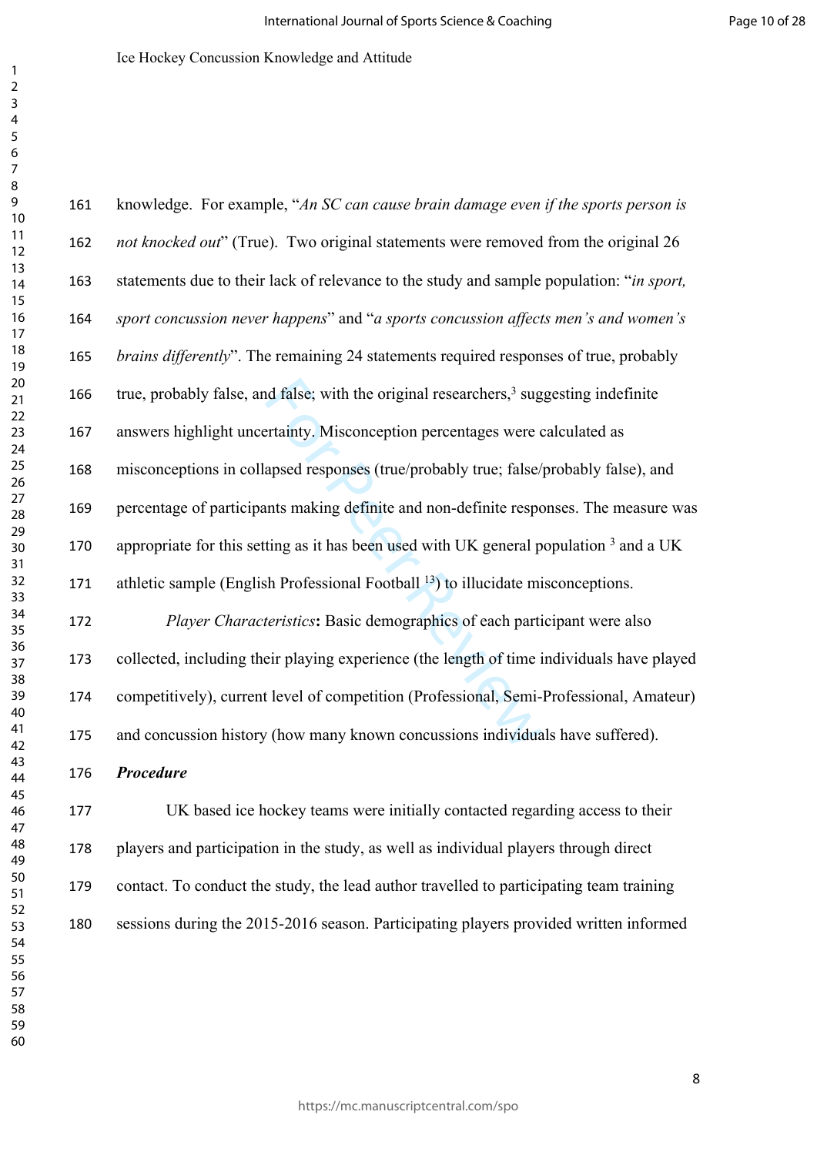nd false; with the original researchers,<sup>3</sup> sugertainty. Misconception percentages were capsed responses (true/probably true; false/<br>ansed responses (true/probably true; false/<br>ting as it has been used with UK general p<br>sh knowledge. For example, "*An SC can cause brain damage even if the sports person is not knocked out*" (True). Two original statements were removed from the original 26 statements due to their lack of relevance to the study and sample population: "*in sport, sport concussion never happens*" and "*a sports concussion affects men's and women's brains differently*". The remaining 24 statements required responses of true, probably 166 true, probably false, and false; with the original researchers,<sup>3</sup> suggesting indefinite answers highlight uncertainty. Misconception percentages were calculated as misconceptions in collapsed responses (true/probably true; false/probably false), and percentage of participants making definite and non-definite responses. The measure was 170 appropriate for this setting as it has been used with UK general population and a UK 171 athletic sample (English Professional Football <sup>13</sup>) to illucidate misconceptions. *Player Characteristics***:** Basic demographics of each participant were also collected, including their playing experience (the length of time individuals have played competitively), current level of competition (Professional, Semi-Professional, Amateur) and concussion history (how many known concussions individuals have suffered). *Procedure* UK based ice hockey teams were initially contacted regarding access to their players and participation in the study, as well as individual players through direct

 contact. To conduct the study, the lead author travelled to participating team training sessions during the 2015-2016 season. Participating players provided written informed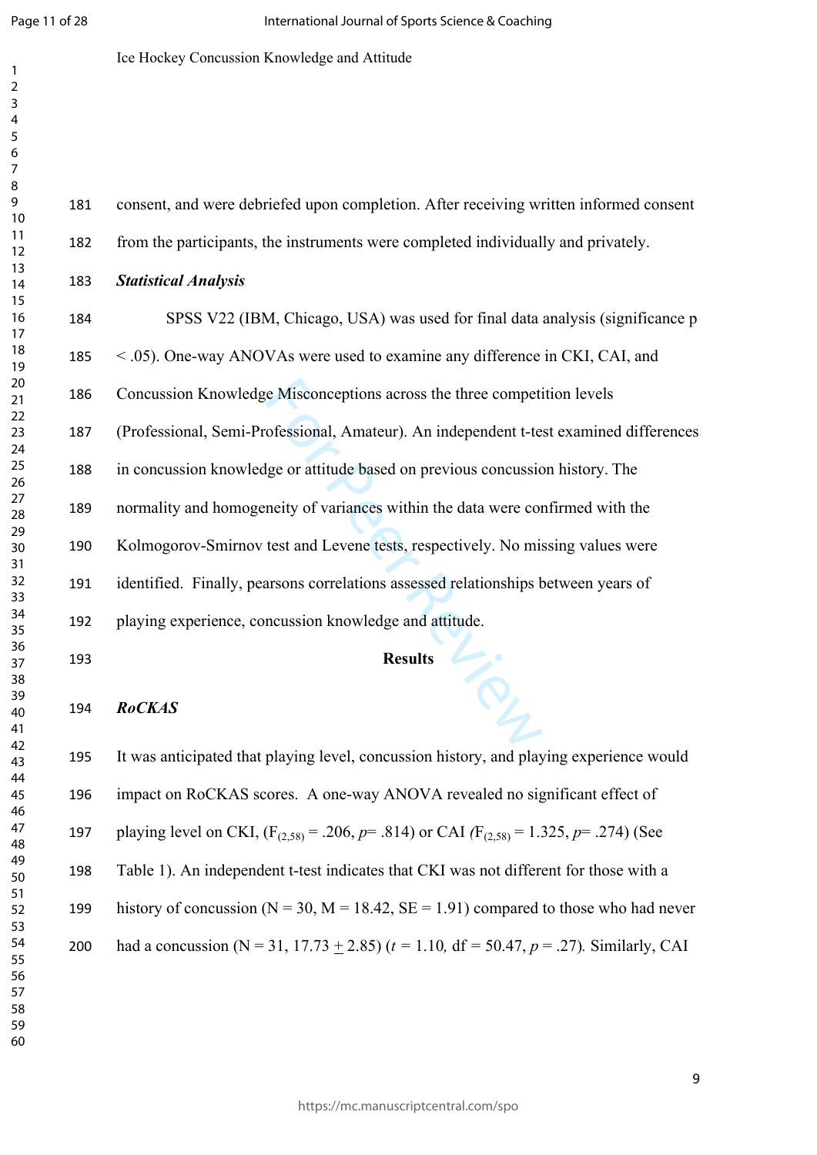$\mathbf{1}$  $\overline{2}$ 

## Ice Hockey Concussion Knowledge and Attitude

|                                                 | 181 | consent, and were debriefed upon completion. After receiving written informed consent              |  |  |
|-------------------------------------------------|-----|----------------------------------------------------------------------------------------------------|--|--|
| $\frac{2}{3}$                                   | 182 | from the participants, the instruments were completed individually and privately.                  |  |  |
| 4                                               | 183 | <b>Statistical Analysis</b>                                                                        |  |  |
| 5<br>5                                          | 184 | SPSS V22 (IBM, Chicago, USA) was used for final data analysis (significance p                      |  |  |
| 3<br>9                                          | 185 | < .05). One-way ANOVAs were used to examine any difference in CKI, CAI, and                        |  |  |
| C                                               | 186 | Concussion Knowledge Misconceptions across the three competition levels                            |  |  |
| 2<br>3<br>4                                     | 187 | (Professional, Semi-Professional, Amateur). An independent t-test examined differences             |  |  |
| 5<br>5<br>7                                     | 188 | in concussion knowledge or attitude based on previous concussion history. The                      |  |  |
| 3<br>9                                          | 189 | normality and homogeneity of variances within the data were confirmed with the                     |  |  |
| $\mathfrak{I}$                                  | 190 | Kolmogorov-Smirnov test and Levene tests, respectively. No missing values were                     |  |  |
| $\frac{2}{3}$                                   | 191 | identified. Finally, pearsons correlations assessed relationships between years of                 |  |  |
| 4<br>5                                          | 192 | playing experience, concussion knowledge and attitude.                                             |  |  |
| 5                                               | 193 | <b>Results</b>                                                                                     |  |  |
| $\mathbf{3}$<br>$\mathfrak z$<br>$\mathfrak{c}$ | 194 | <b>RoCKAS</b>                                                                                      |  |  |
|                                                 | 195 | It was anticipated that playing level, concussion history, and playing experience would            |  |  |
| 5<br>5<br>7                                     | 196 | impact on RoCKAS scores. A one-way ANOVA revealed no significant effect of                         |  |  |
|                                                 | 197 | playing level on CKI, $(F_{(2,58)} = .206, p = .814)$ or CAI $(F_{(2,58)} = 1.325, p = .274)$ (See |  |  |
| 3<br>9<br>$\mathfrak{0}$                        | 198 | Table 1). An independent t-test indicates that CKI was not different for those with a              |  |  |
| 2<br>3                                          | 199 | history of concussion ( $N = 30$ , $M = 18.42$ , $SE = 1.91$ ) compared to those who had never     |  |  |
| 4<br>5<br>5<br>7                                | 200 | had a concussion (N = 31, 17.73 $\pm$ 2.85) (t = 1.10, df = 50.47, p = .27). Similarly, CAI        |  |  |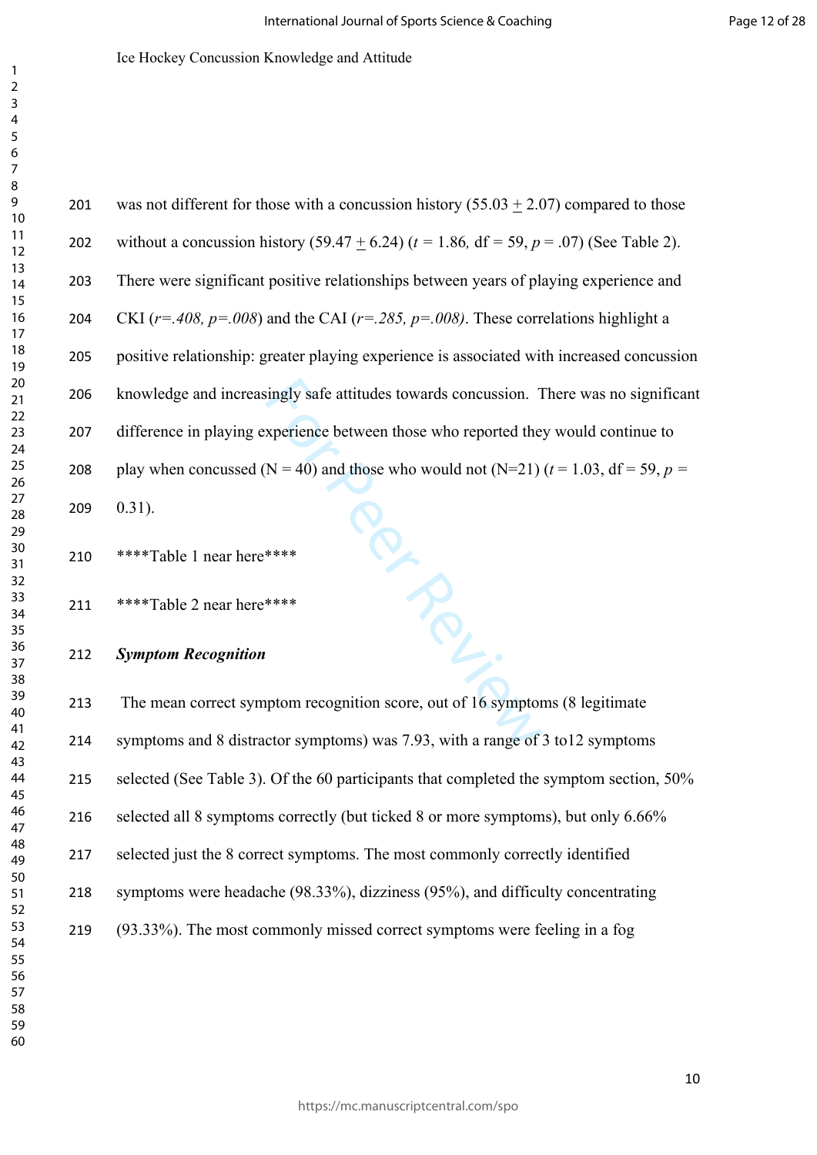| 201 | was not different for those with a concussion history $(55.03 + 2.07)$ compared to those                |
|-----|---------------------------------------------------------------------------------------------------------|
| 202 | without a concussion history (59.47 + 6.24) ( $t = 1.86$ , df = 59, $p = .07$ ) (See Table 2).          |
| 203 | There were significant positive relationships between years of playing experience and                   |
| 204 | CKI ( $r = .408$ , $p = .008$ ) and the CAI ( $r = .285$ , $p = .008$ ). These correlations highlight a |
| 205 | positive relationship: greater playing experience is associated with increased concussion               |
| 206 | knowledge and increasingly safe attitudes towards concussion. There was no significant                  |
| 207 | difference in playing experience between those who reported they would continue to                      |
| 208 | play when concussed (N = 40) and those who would not (N=21) ( $t = 1.03$ , df = 59, $p =$               |
| 209 | $0.31$ ).                                                                                               |

\*\*\*\*Table 1 near here\*\*\*\*

\*\*\*\*Table 2 near here\*\*\*\*

## *Symptom Recognition*

 The mean correct symptom recognition score, out of 16 symptoms (8 legitimate symptoms and 8 distractor symptoms) was 7.93, with a range of 3 to12 symptoms selected (See Table 3). Of the 60 participants that completed the symptom section, 50% selected all 8 symptoms correctly (but ticked 8 or more symptoms), but only 6.66% selected just the 8 correct symptoms. The most commonly correctly identified symptoms were headache (98.33%), dizziness (95%), and difficulty concentrating (93.33%). The most commonly missed correct symptoms were feeling in a fog

**For Per Review**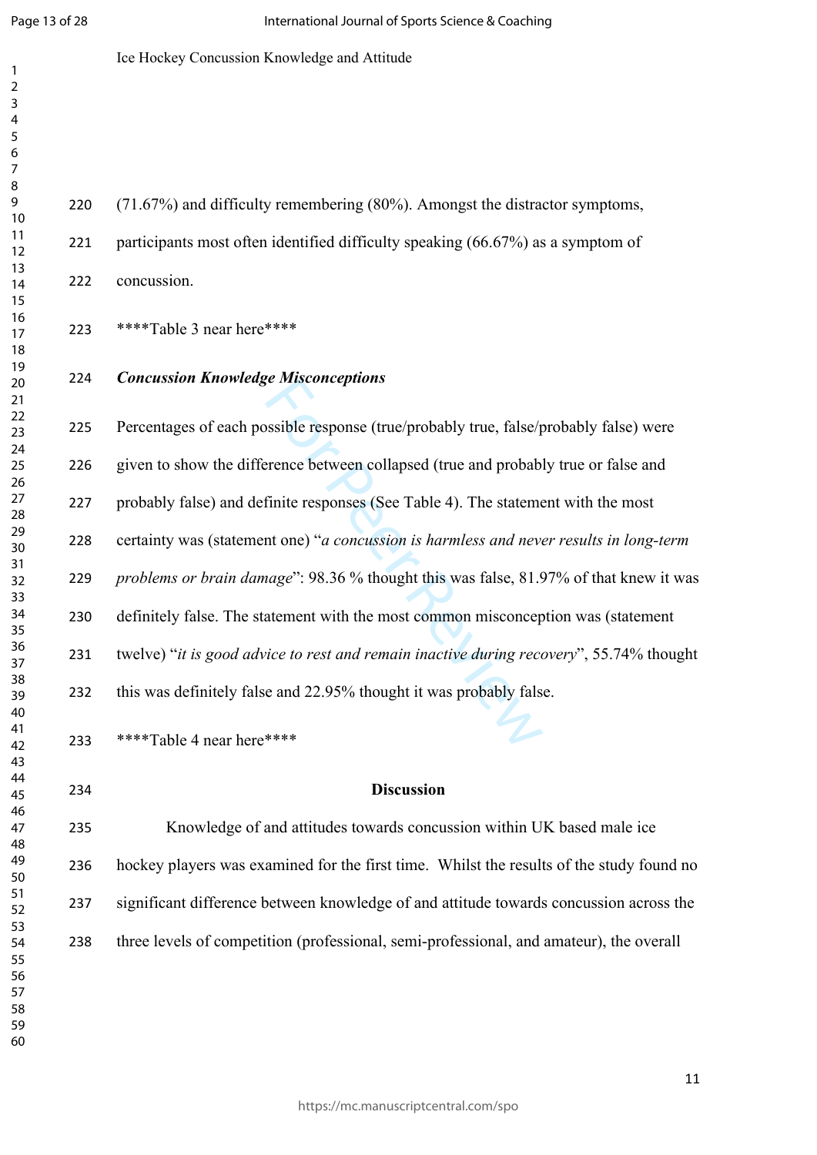$\mathbf{1}$  $\overline{2}$  $\overline{3}$ 

## Ice Hockey Concussion Knowledge and Attitude

 (71.67%) and difficulty remembering (80%). Amongst the distractor symptoms, participants most often identified difficulty speaking (66.67%) as a symptom of concussion.

\*\*\*\*Table 3 near here\*\*\*\*

## *Concussion Knowledge Misconceptions*

be *Misconcepitons*<br>sosible response (true/probably true, false/p<br>erence between collapsed (true and probab<br>finite responses (See Table 4). The statement<br>one) "*a concussion is harmless and nevalage*": 98.36 % thought this Percentages of each possible response (true/probably true, false/probably false) were given to show the difference between collapsed (true and probably true or false and probably false) and definite responses (See Table 4). The statement with the most certainty was (statement one) "*a concussion is harmless and never results in long-term problems or brain damage*": 98.36 % thought this was false, 81.97% of that knew it was definitely false. The statement with the most common misconception was (statement twelve) "*it is good advice to rest and remain inactive during recovery*", 55.74% thought this was definitely false and 22.95% thought it was probably false.

\*\*\*\*Table 4 near here\*\*\*\*

## **Discussion**

 Knowledge of and attitudes towards concussion within UK based male ice hockey players was examined for the first time. Whilst the results of the study found no significant difference between knowledge of and attitude towards concussion across the three levels of competition (professional, semi-professional, and amateur), the overall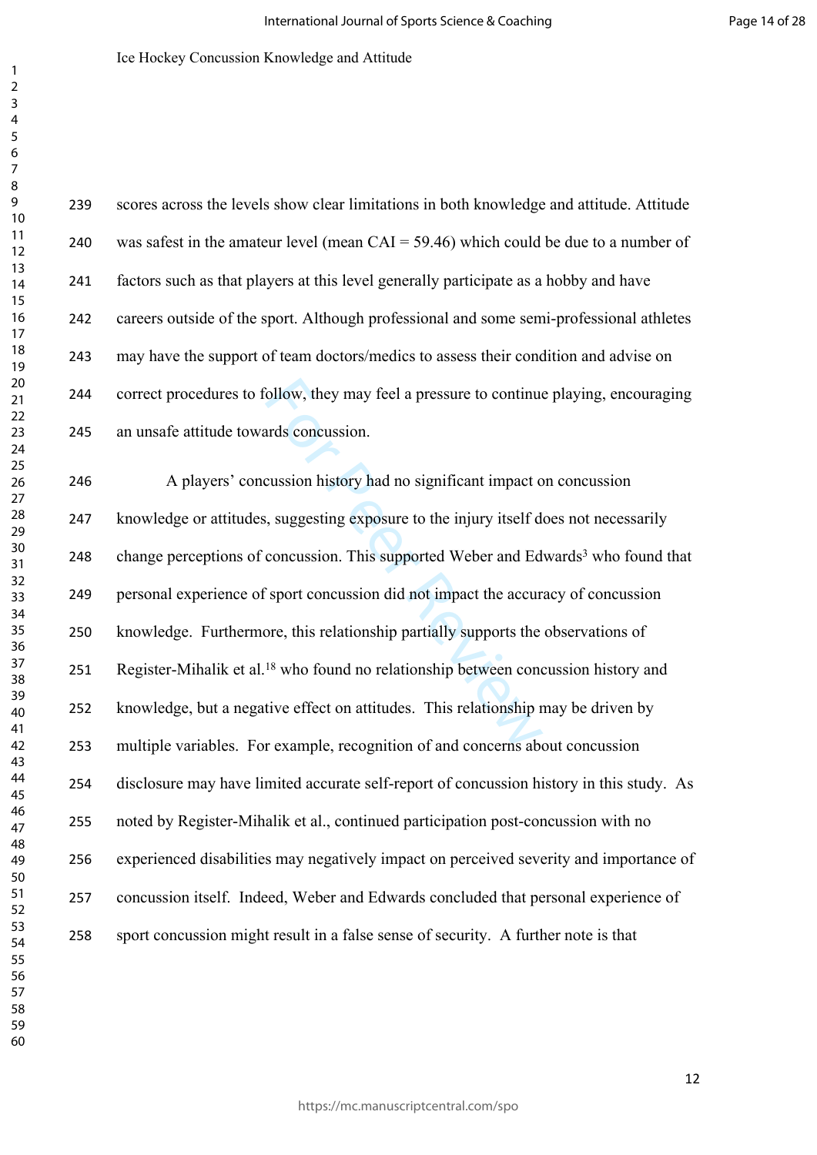follow, they may feel a pressure to continuand<br>ards concussion.<br>cussion history had no significant impact c<br>is, suggesting exposure to the injury itself d<br>concussion. This supported Weber and Ed<br>Sport concussion did not im scores across the levels show clear limitations in both knowledge and attitude. Attitude was safest in the amateur level (mean CAI = 59.46) which could be due to a number of factors such as that players at this level generally participate as a hobby and have careers outside of the sport. Although professional and some semi-professional athletes may have the support of team doctors/medics to assess their condition and advise on correct procedures to follow, they may feel a pressure to continue playing, encouraging an unsafe attitude towards concussion. A players' concussion history had no significant impact on concussion 247 knowledge or attitudes, suggesting exposure to the injury itself does not necessarily 248 change perceptions of concussion. This supported Weber and Edwards<sup>3</sup> who found that personal experience of sport concussion did not impact the accuracy of concussion knowledge. Furthermore, this relationship partially supports the observations of 251 Register-Mihalik et al.<sup>18</sup> who found no relationship between concussion history and knowledge, but a negative effect on attitudes. This relationship may be driven by multiple variables. For example, recognition of and concerns about concussion disclosure may have limited accurate self-report of concussion history in this study. As noted by Register-Mihalik et al., continued participation post-concussion with no experienced disabilities may negatively impact on perceived severity and importance of concussion itself. Indeed, Weber and Edwards concluded that personal experience of sport concussion might result in a false sense of security. A further note is that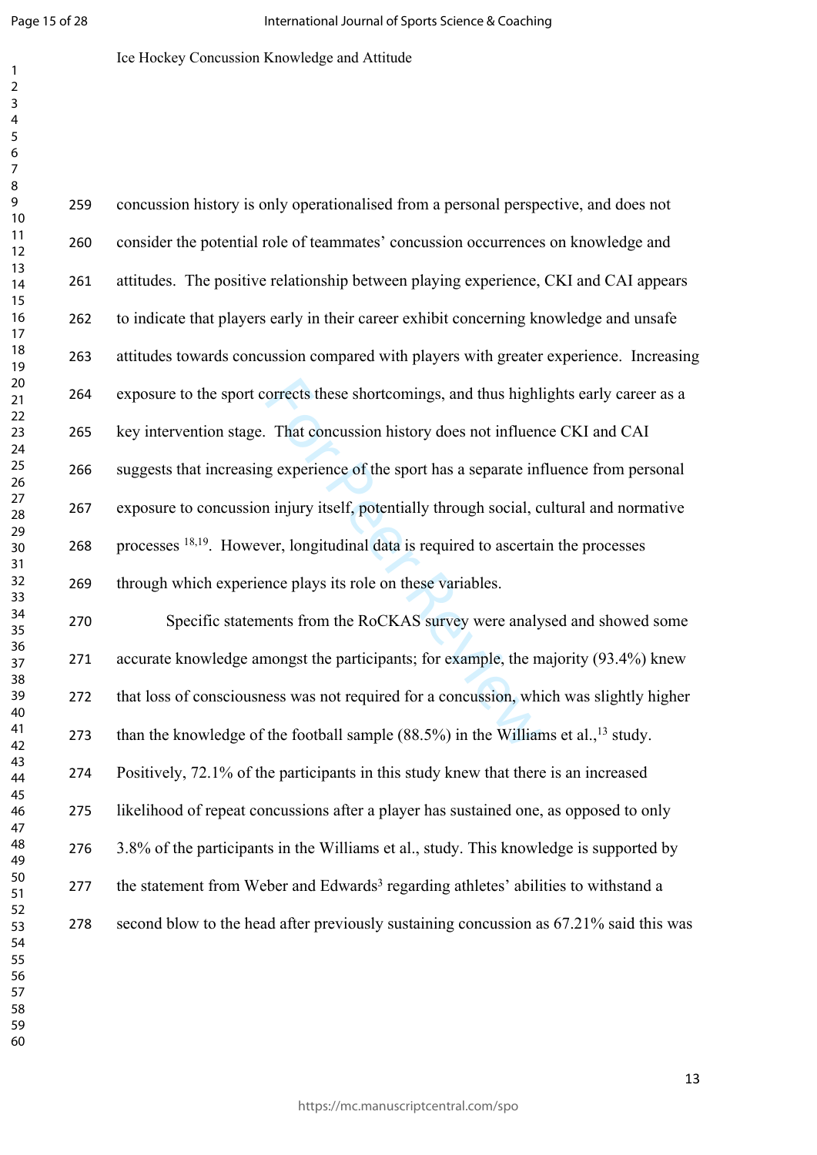$\mathbf{1}$  $\overline{2}$  $\overline{3}$  $\overline{4}$  $\overline{7}$ 

#### Ice Hockey Concussion Knowledge and Attitude

orrects these shortcomings, and thus highl<br>That concussion history does not influend<br>g experience of the sport has a separate int<br>n injury itself, potentially through social, c<br>ver, longitudinal data is required to ascerta concussion history is only operationalised from a personal perspective, and does not consider the potential role of teammates' concussion occurrences on knowledge and attitudes. The positive relationship between playing experience, CKI and CAI appears to indicate that players early in their career exhibit concerning knowledge and unsafe attitudes towards concussion compared with players with greater experience. Increasing exposure to the sport corrects these shortcomings, and thus highlights early career as a key intervention stage. That concussion history does not influence CKI and CAI suggests that increasing experience of the sport has a separate influence from personal exposure to concussion injury itself, potentially through social, cultural and normative processes 18,19. However, longitudinal data is required to ascertain the processes through which experience plays its role on these variables. Specific statements from the RoCKAS survey were analysed and showed some accurate knowledge amongst the participants; for example, the majority (93.4%) knew

that loss of consciousness was not required for a concussion, which was slightly higher

273 than the knowledge of the football sample  $(88.5\%)$  in the Williams et al.,<sup>13</sup> study.

Positively, 72.1% of the participants in this study knew that there is an increased

likelihood of repeat concussions after a player has sustained one, as opposed to only

3.8% of the participants in the Williams et al., study. This knowledge is supported by

277 the statement from Weber and Edwards<sup>3</sup> regarding athletes' abilities to withstand a

second blow to the head after previously sustaining concussion as 67.21% said this was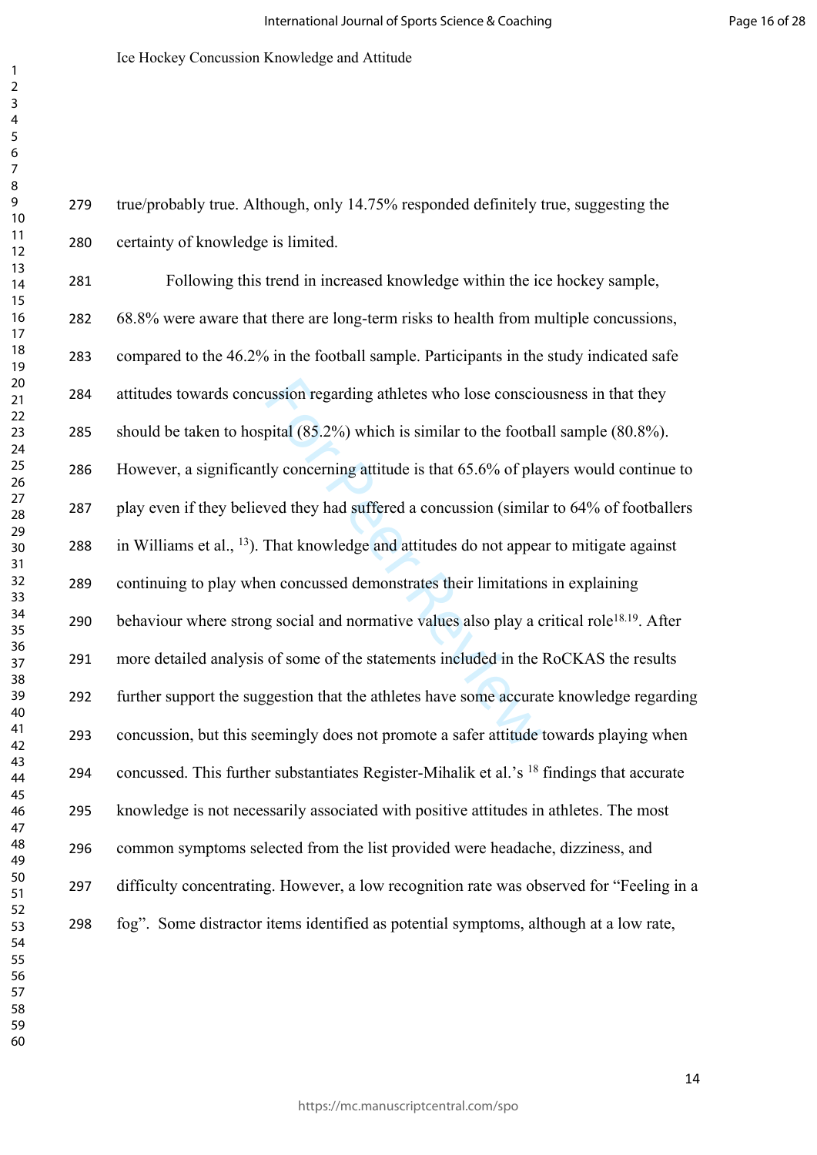true/probably true. Although, only 14.75% responded definitely true, suggesting the certainty of knowledge is limited.

ussion regarding athletes who lose conscion<br>pital (85.2%) which is similar to the footba<br>ly concerning attitude is that 65.6% of pla<br>wed they had suffered a concussion (simila<br>That knowledge and attitudes do not appear<br>an Following this trend in increased knowledge within the ice hockey sample, 68.8% were aware that there are long-term risks to health from multiple concussions, compared to the 46.2% in the football sample. Participants in the study indicated safe attitudes towards concussion regarding athletes who lose consciousness in that they should be taken to hospital (85.2%) which is similar to the football sample (80.8%). However, a significantly concerning attitude is that 65.6% of players would continue to play even if they believed they had suffered a concussion (similar to 64% of footballers in Williams et al., <sup>13</sup>). That knowledge and attitudes do not appear to mitigate against continuing to play when concussed demonstrates their limitations in explaining 290 behaviour where strong social and normative values also play a critical role<sup>18.19</sup>. After more detailed analysis of some of the statements included in the RoCKAS the results further support the suggestion that the athletes have some accurate knowledge regarding concussion, but this seemingly does not promote a safer attitude towards playing when 294 concussed. This further substantiates Register-Mihalik et al.'s <sup>18</sup> findings that accurate knowledge is not necessarily associated with positive attitudes in athletes. The most common symptoms selected from the list provided were headache, dizziness, and difficulty concentrating. However, a low recognition rate was observed for "Feeling in a fog". Some distractor items identified as potential symptoms, although at a low rate,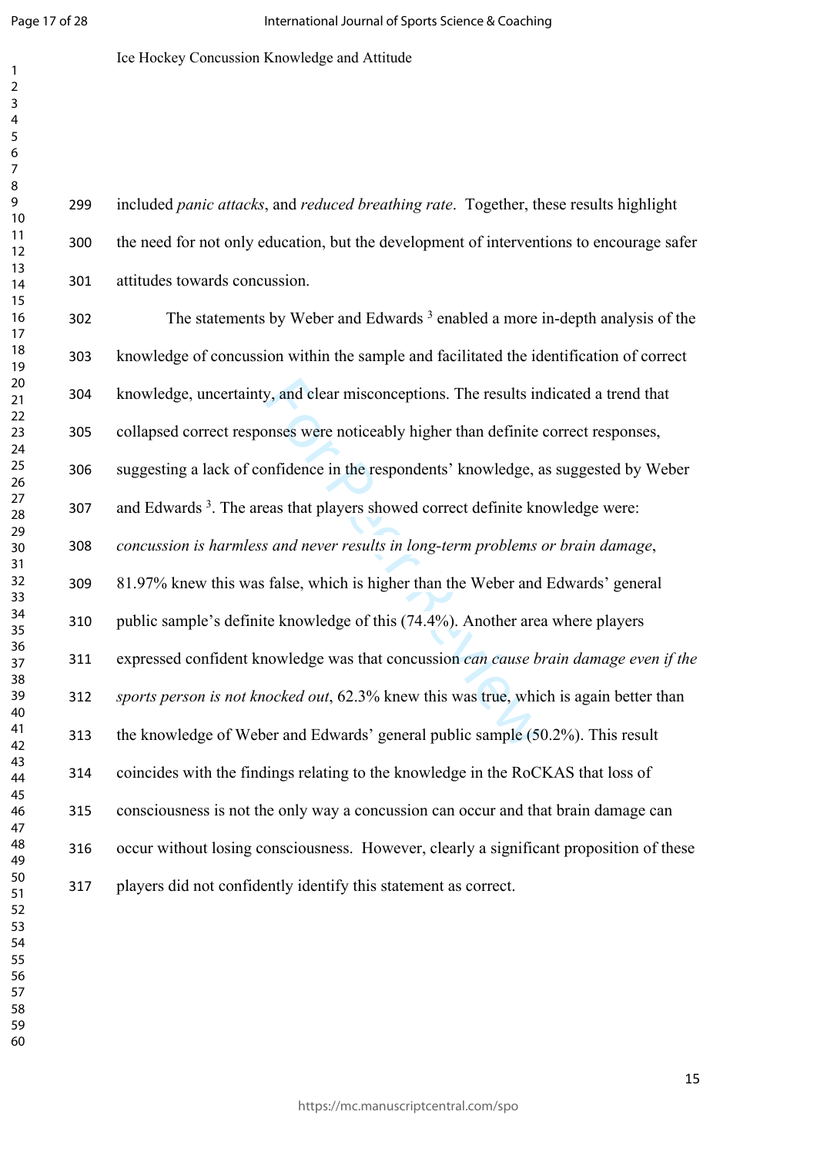$\mathbf{1}$  $\overline{2}$  $\overline{3}$  Ice Hockey Concussion Knowledge and Attitude

 included *panic attacks*, and *reduced breathing rate*. Together, these results highlight the need for not only education, but the development of interventions to encourage safer attitudes towards concussion.

y, and clear misconceptions. The results in<br>onses were noticeably higher than definite<br>onfidence in the respondents' knowledge, a<br>eas that players showed correct definite kn<br>s and never results in long-term problems<br>false, 302 The statements by Weber and Edwards<sup>3</sup> enabled a more in-depth analysis of the knowledge of concussion within the sample and facilitated the identification of correct knowledge, uncertainty, and clear misconceptions. The results indicated a trend that collapsed correct responses were noticeably higher than definite correct responses, suggesting a lack of confidence in the respondents' knowledge, as suggested by Weber and Edwards 3 . The areas that players showed correct definite knowledge were: *concussion is harmless and never results in long-term problems or brain damage*, 81.97% knew this was false, which is higher than the Weber and Edwards' general public sample's definite knowledge of this (74.4%). Another area where players expressed confident knowledge was that concussion *can cause brain damage even if the sports person is not knocked out*, 62.3% knew this was true, which is again better than the knowledge of Weber and Edwards' general public sample (50.2%). This result coincides with the findings relating to the knowledge in the RoCKAS that loss of consciousness is not the only way a concussion can occur and that brain damage can occur without losing consciousness. However, clearly a significant proposition of these players did not confidently identify this statement as correct.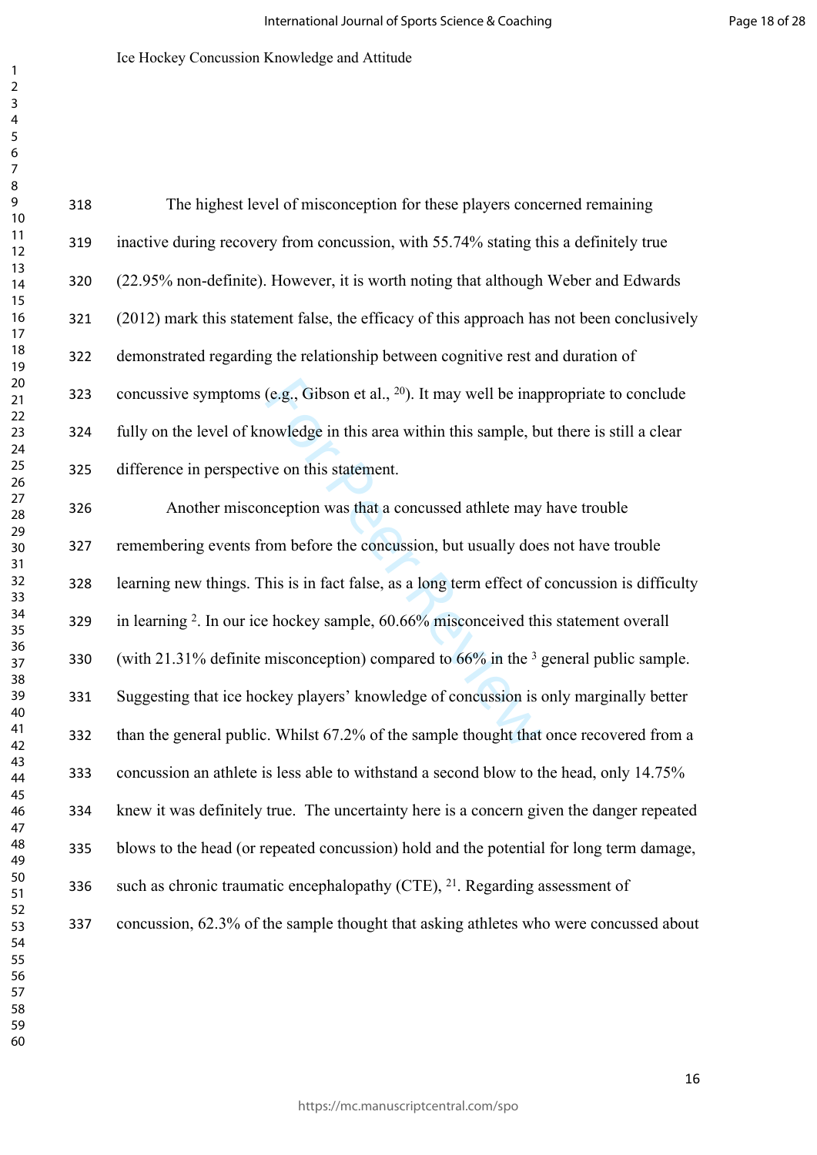| 318 | The highest level of misconception for these players concerned remaining                            |
|-----|-----------------------------------------------------------------------------------------------------|
| 319 | inactive during recovery from concussion, with 55.74% stating this a definitely true                |
| 320 | (22.95% non-definite). However, it is worth noting that although Weber and Edwards                  |
| 321 | (2012) mark this statement false, the efficacy of this approach has not been conclusively           |
| 322 | demonstrated regarding the relationship between cognitive rest and duration of                      |
| 323 | concussive symptoms (e.g., Gibson et al., <sup>20</sup> ). It may well be inappropriate to conclude |
| 324 | fully on the level of knowledge in this area within this sample, but there is still a clear         |
| 325 | difference in perspective on this statement.                                                        |
| 326 | Another misconception was that a concussed athlete may have trouble                                 |
| 327 | remembering events from before the concussion, but usually does not have trouble                    |
| 328 | learning new things. This is in fact false, as a long term effect of concussion is difficulty       |
| 329 | in learning <sup>2</sup> . In our ice hockey sample, 60.66% misconceived this statement overall     |
| 330 | (with 21.31% definite misconception) compared to $66\%$ in the <sup>3</sup> general public sample.  |
| 331 | Suggesting that ice hockey players' knowledge of concussion is only marginally better               |
| 332 | than the general public. Whilst 67.2% of the sample thought that once recovered from a              |
| 333 | concussion an athlete is less able to withstand a second blow to the head, only 14.75%              |
| 334 | knew it was definitely true. The uncertainty here is a concern given the danger repeated            |
| 335 | blows to the head (or repeated concussion) hold and the potential for long term damage,             |
| 336 | such as chronic traumatic encephalopathy (CTE), $^{21}$ . Regarding assessment of                   |
| 337 | concussion, 62.3% of the sample thought that asking athletes who were concussed about               |
|     |                                                                                                     |
|     |                                                                                                     |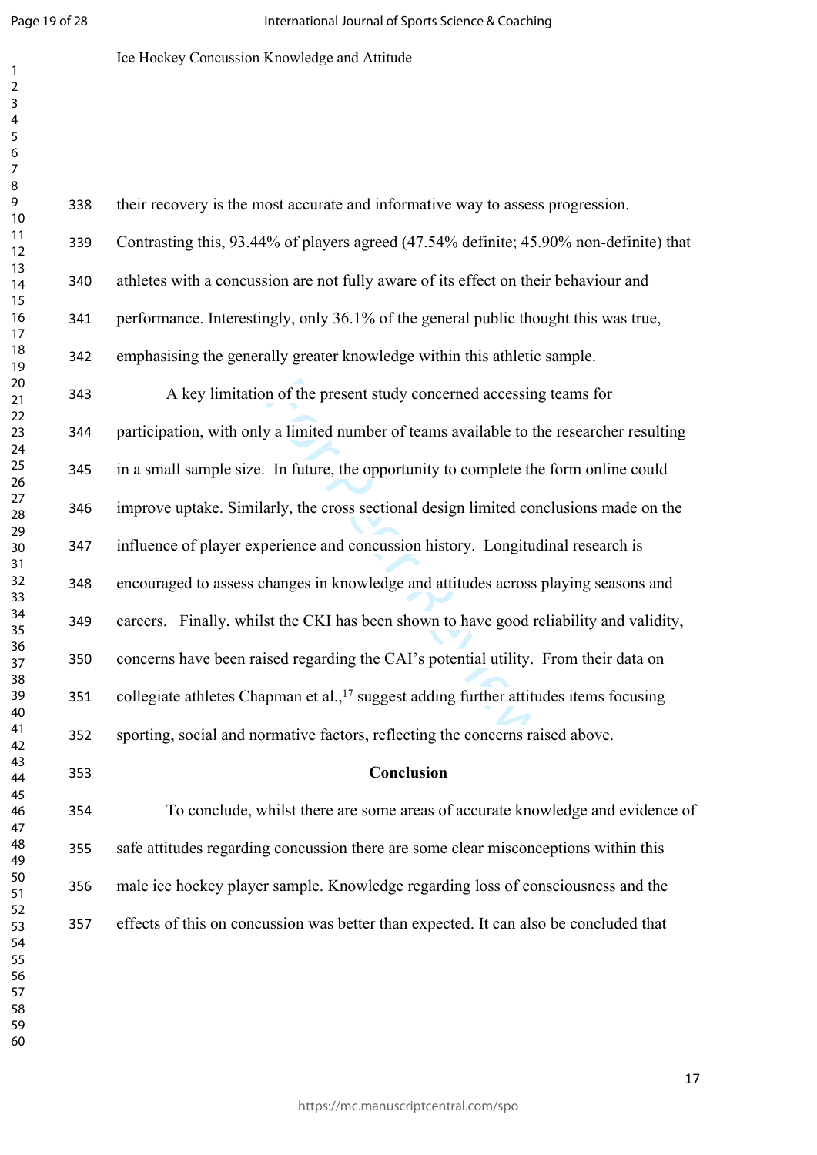$\mathbf{1}$  $\overline{2}$  $\overline{3}$  $\overline{4}$ 

## Ice Hockey Concussion Knowledge and Attitude

| 338 | their recovery is the most accurate and informative way to assess progression.                    |
|-----|---------------------------------------------------------------------------------------------------|
| 339 | Contrasting this, 93.44% of players agreed (47.54% definite; 45.90% non-definite) that            |
| 340 | athletes with a concussion are not fully aware of its effect on their behaviour and               |
| 341 | performance. Interestingly, only 36.1% of the general public thought this was true,               |
| 342 | emphasising the generally greater knowledge within this athletic sample.                          |
| 343 | A key limitation of the present study concerned accessing teams for                               |
| 344 | participation, with only a limited number of teams available to the researcher resulting          |
| 345 | in a small sample size. In future, the opportunity to complete the form online could              |
| 346 | improve uptake. Similarly, the cross sectional design limited conclusions made on the             |
| 347 | influence of player experience and concussion history. Longitudinal research is                   |
| 348 | encouraged to assess changes in knowledge and attitudes across playing seasons and                |
| 349 | careers. Finally, whilst the CKI has been shown to have good reliability and validity,            |
| 350 | concerns have been raised regarding the CAI's potential utility. From their data on               |
| 351 | collegiate athletes Chapman et al., <sup>17</sup> suggest adding further attitudes items focusing |
| 352 | sporting, social and normative factors, reflecting the concerns raised above.                     |
| 353 | Conclusion                                                                                        |
| 354 | To conclude, whilst there are some areas of accurate knowledge and evidence of                    |
|     |                                                                                                   |

 safe attitudes regarding concussion there are some clear misconceptions within this male ice hockey player sample. Knowledge regarding loss of consciousness and the effects of this on concussion was better than expected. It can also be concluded that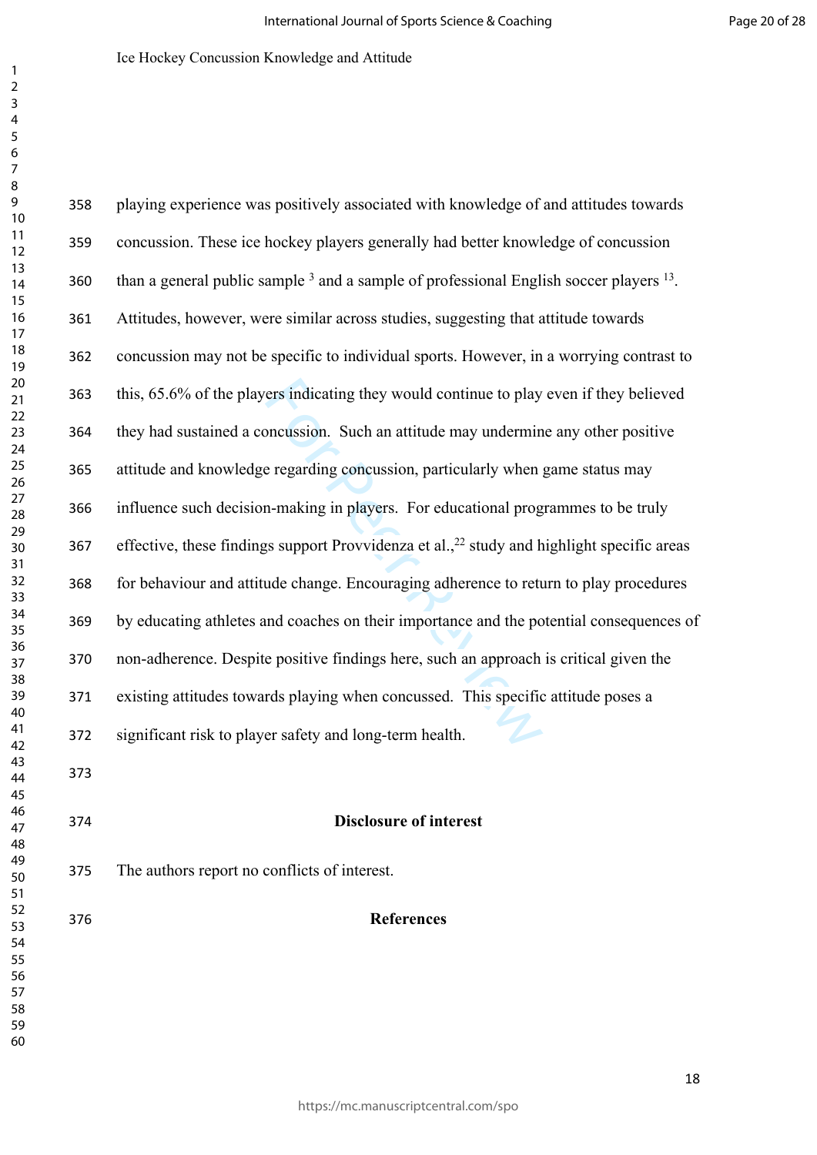| 358 | playing experience was positively associated with knowledge of and attitudes towards                          |
|-----|---------------------------------------------------------------------------------------------------------------|
| 359 | concussion. These ice hockey players generally had better knowledge of concussion                             |
| 360 | than a general public sample <sup>3</sup> and a sample of professional English soccer players <sup>13</sup> . |
| 361 | Attitudes, however, were similar across studies, suggesting that attitude towards                             |
| 362 | concussion may not be specific to individual sports. However, in a worrying contrast to                       |
| 363 | this, 65.6% of the players indicating they would continue to play even if they believed                       |
| 364 | they had sustained a concussion. Such an attitude may undermine any other positive                            |
| 365 | attitude and knowledge regarding concussion, particularly when game status may                                |
| 366 | influence such decision-making in players. For educational programmes to be truly                             |
| 367 | effective, these findings support Provvidenza et al., <sup>22</sup> study and highlight specific areas        |
| 368 | for behaviour and attitude change. Encouraging adherence to return to play procedures                         |
| 369 | by educating athletes and coaches on their importance and the potential consequences of                       |
| 370 | non-adherence. Despite positive findings here, such an approach is critical given the                         |
| 371 | existing attitudes towards playing when concussed. This specific attitude poses a                             |
| 372 | significant risk to player safety and long-term health.                                                       |
| 373 |                                                                                                               |
| 374 | <b>Disclosure of interest</b>                                                                                 |
| 375 | The authors report no conflicts of interest.                                                                  |
| 376 | <b>References</b>                                                                                             |
|     |                                                                                                               |
|     |                                                                                                               |
|     |                                                                                                               |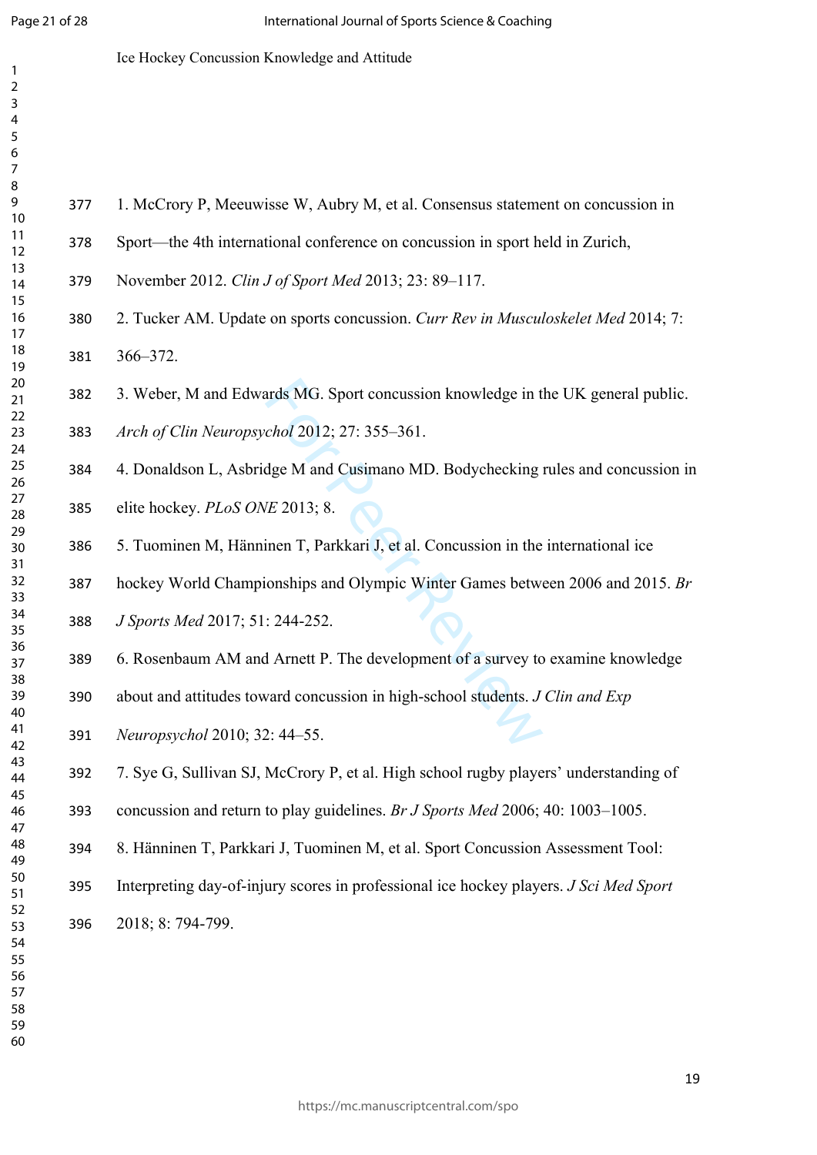$\mathbf{1}$ 

Ice Hockey Concussion Knowledge and Attitude

- Sport—the 4th international conference on concussion in sport held in Zurich,
- November 2012. *Clin J of Sport Med* 2013; 23: 89–117.
- 2. Tucker AM. Update on sports concussion. *Curr Rev in Musculoskelet Med* 2014; 7: 366–372.
- 3. Weber, M and Edwards MG. Sport concussion knowledge in the UK general public.
- *Arch of Clin Neuropsychol* 2012; 27: 355–361.
- ards MG. Sport concussion knowledge in t<br>
chol 2012; 27: 355–361.<br>
dge M and Cusimano MD. Bodychecking<br>
IE 2013; 8.<br>
inen T, Parkkari J, et al. Concussion in the<br>
ionships and Olympic Winter Games betw<br>
: 244-252.<br>
d Arnet 4. Donaldson L, Asbridge M and Cusimano MD. Bodychecking rules and concussion in
- elite hockey. *PLoS ONE* 2013; 8.
- 5. Tuominen M, Hänninen T, Parkkari J, et al. Concussion in the international ice
- hockey World Championships and Olympic Winter Games between 2006 and 2015. *Br*
- *J Sports Med* 2017; 51: 244-252.
- 6. Rosenbaum AM and Arnett P. The development of a survey to examine knowledge
- about and attitudes toward concussion in high-school students. *J Clin and Exp*
- *Neuropsychol* 2010; 32: 44–55.
	- 7. Sye G, Sullivan SJ, McCrory P, et al. High school rugby players' understanding of
	- concussion and return to play guidelines. *Br J Sports Med* 2006; 40: 1003–1005.
	- 8. Hänninen T, Parkkari J, Tuominen M, et al. Sport Concussion Assessment Tool:
	- Interpreting day-of-injury scores in professional ice hockey players. *J Sci Med Sport*  2018; 8: 794-799.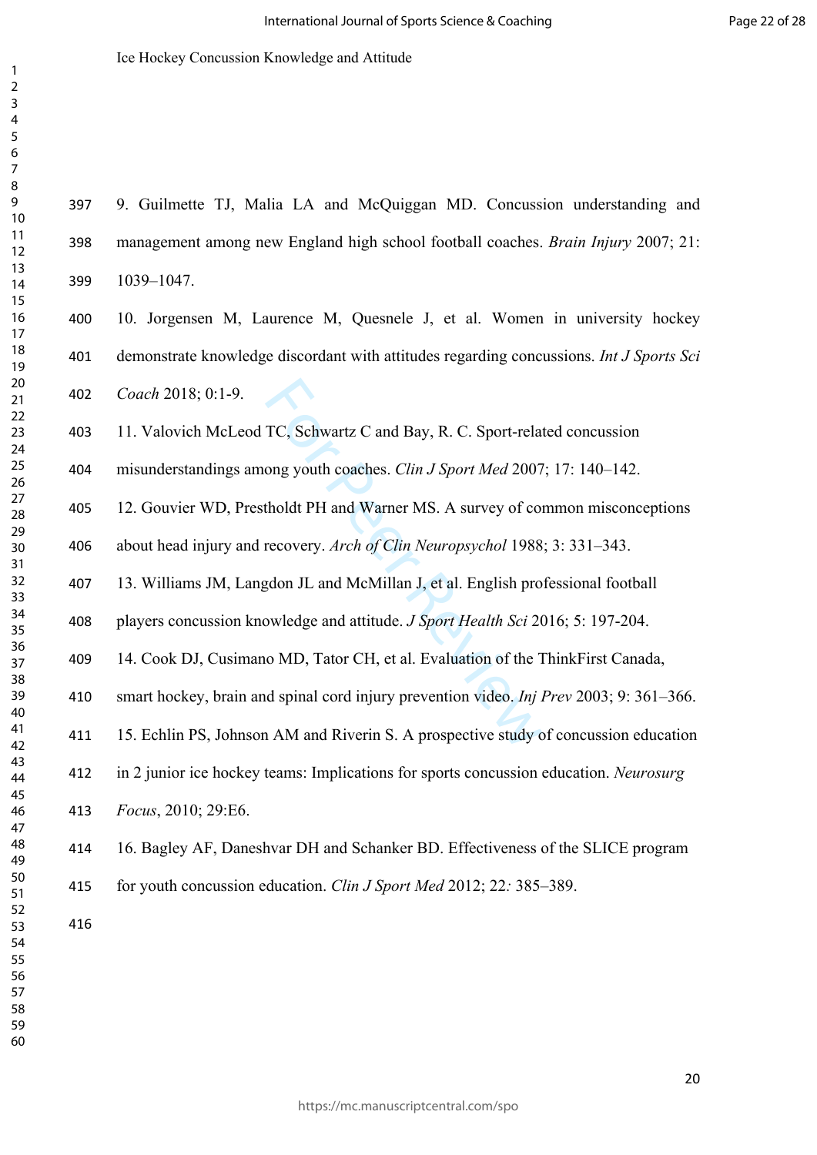9. Guilmette TJ, Malia LA and McQuiggan MD. Concussion understanding and

Ice Hockey Concussion Knowledge and Attitude

TC, Schwartz C and Bay, R. C. Sport-rela<br>
ong youth coaches. *Clin J Sport Med* 2007<br>
tholdt PH and Warner MS. A survey of core<br>
recovery. *Arch of Clin Neuropsychol* 1988<br>
gdon JL and McMillan J, et al. English pro<br>
owled management among new England high school football coaches. *Brain Injury* 2007; 21: 1039–1047. 10. Jorgensen M, Laurence M, Quesnele J, et al. Women in university hockey demonstrate knowledge discordant with attitudes regarding concussions. *Int J Sports Sci Coach* 2018; 0:1-9. 11. Valovich McLeod TC, Schwartz C and Bay, R. C. Sport-related concussion misunderstandings among youth coaches. *Clin J Sport Med* 2007; 17: 140–142. 12. Gouvier WD, Prestholdt PH and Warner MS. A survey of common misconceptions about head injury and recovery. *Arch of Clin Neuropsychol* 1988; 3: 331–343. 13. Williams JM, Langdon JL and McMillan J, et al. English professional football players concussion knowledge and attitude. *J Sport Health Sci* 2016; 5: 197-204. 14. Cook DJ, Cusimano MD, Tator CH, et al. Evaluation of the ThinkFirst Canada, smart hockey, brain and spinal cord injury prevention video. *Inj Prev* 2003; 9: 361–366. 15. Echlin PS, Johnson AM and Riverin S. A prospective study of concussion education in 2 junior ice hockey teams: Implications for sports concussion education. *Neurosurg Focus*, 2010; 29:E6. 16. Bagley AF, Daneshvar DH and Schanker BD. Effectiveness of the SLICE program for youth concussion education. *Clin J Sport Med* 2012; 22*:* 385–389. 

https://mc.manuscriptcentral.com/spo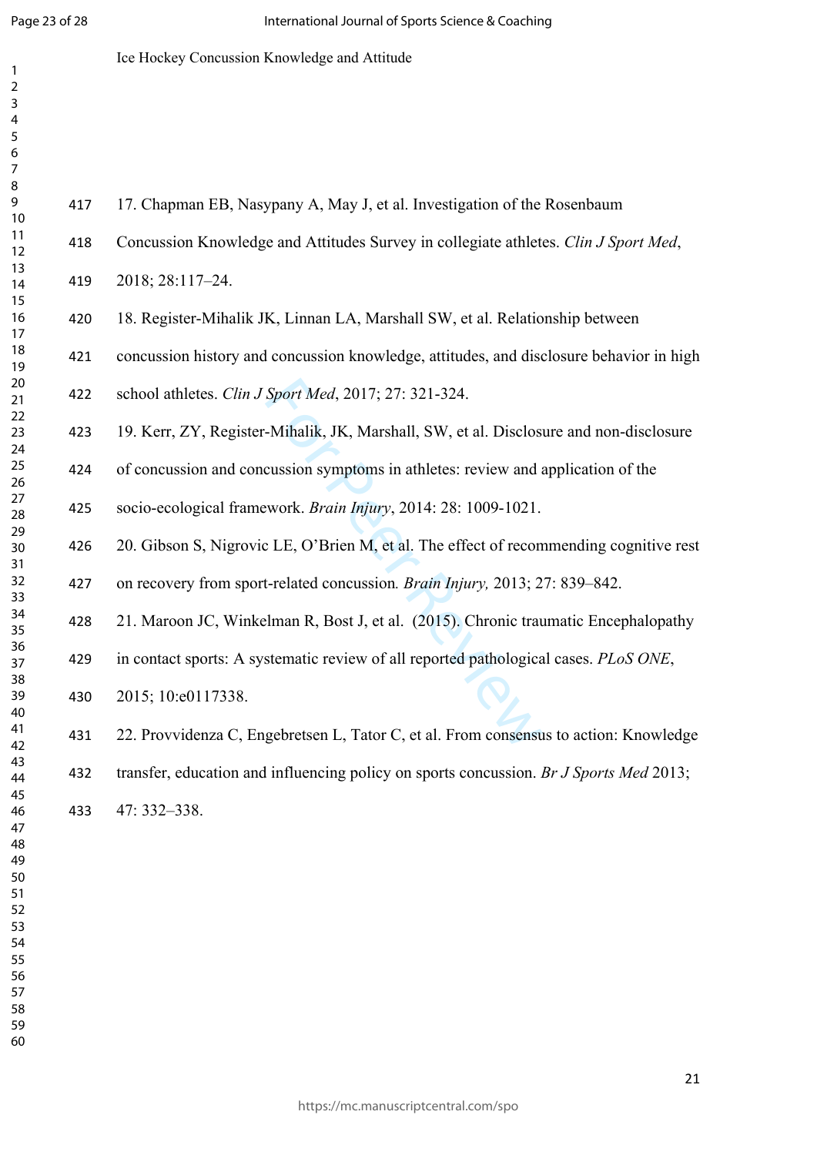$\mathbf{1}$  $\overline{2}$  $\overline{3}$  $\overline{4}$  $\overline{7}$ 

## Ice Hockey Concussion Knowledge and Attitude

| 417 | 17. Chapman EB, Nasypany A, May J, et al. Investigation of the Rosenbaum                |
|-----|-----------------------------------------------------------------------------------------|
| 418 | Concussion Knowledge and Attitudes Survey in collegiate athletes. Clin J Sport Med,     |
| 419 | 2018; 28:117-24.                                                                        |
| 420 | 18. Register-Mihalik JK, Linnan LA, Marshall SW, et al. Relationship between            |
| 421 | concussion history and concussion knowledge, attitudes, and disclosure behavior in high |
| 422 | school athletes. Clin J Sport Med, 2017; 27: 321-324.                                   |
| 423 | 19. Kerr, ZY, Register-Mihalik, JK, Marshall, SW, et al. Disclosure and non-disclosure  |
| 424 | of concussion and concussion symptoms in athletes: review and application of the        |
| 425 | socio-ecological framework. Brain Injury, 2014: 28: 1009-1021.                          |
| 426 | 20. Gibson S, Nigrovic LE, O'Brien M, et al. The effect of recommending cognitive rest  |
| 427 | on recovery from sport-related concussion. Brain Injury, 2013; 27: 839-842.             |
| 428 | 21. Maroon JC, Winkelman R, Bost J, et al. (2015). Chronic traumatic Encephalopathy     |
| 429 | in contact sports: A systematic review of all reported pathological cases. PLoS ONE,    |
| 430 | 2015; 10:e0117338.                                                                      |
| 431 | 22. Provvidenza C, Engebretsen L, Tator C, et al. From consensus to action: Knowledge   |
| 432 | transfer, education and influencing policy on sports concussion. Br J Sports Med 2013;  |
| 433 | 47: 332-338.                                                                            |
|     |                                                                                         |
|     |                                                                                         |
|     |                                                                                         |
|     |                                                                                         |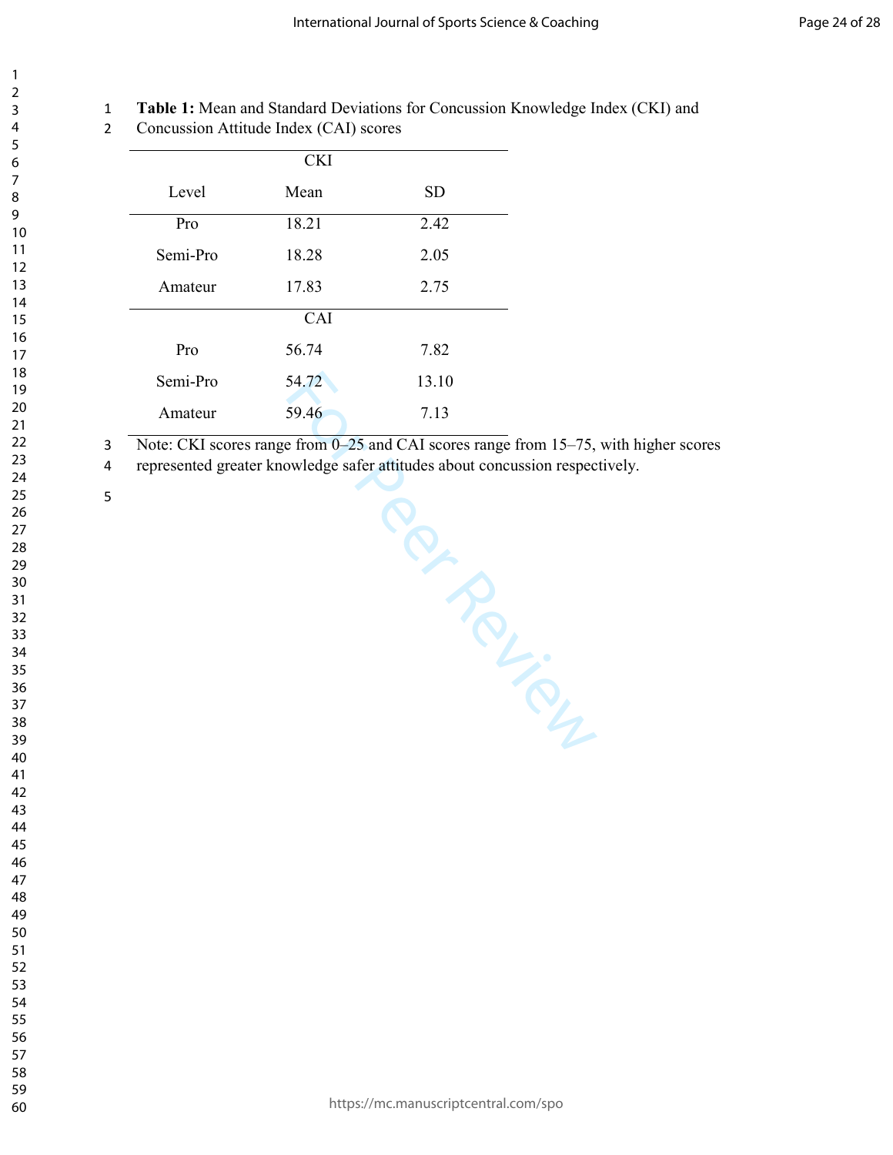#### **Table 1:** Mean and Standard Deviations for Concussion Knowledge Index (CKI) and

Concussion Attitude Index (CAI) scores

| <b>CKI</b> |       |           |  |
|------------|-------|-----------|--|
| Level      | Mean  | <b>SD</b> |  |
| Pro        | 18.21 | 2.42      |  |
| Semi-Pro   | 18.28 | 2.05      |  |
| Amateur    | 17.83 | 2.75      |  |
|            | CAI   |           |  |
| Pro        | 56.74 | 7.82      |  |
| Semi-Pro   | 54.72 | 13.10     |  |
| Amateur    | 59.46 | 7.13      |  |

Note: CKI scores range from 0–25 and CAI scores range from 15–75, with higher scores

Per Review

represented greater knowledge safer attitudes about concussion respectively.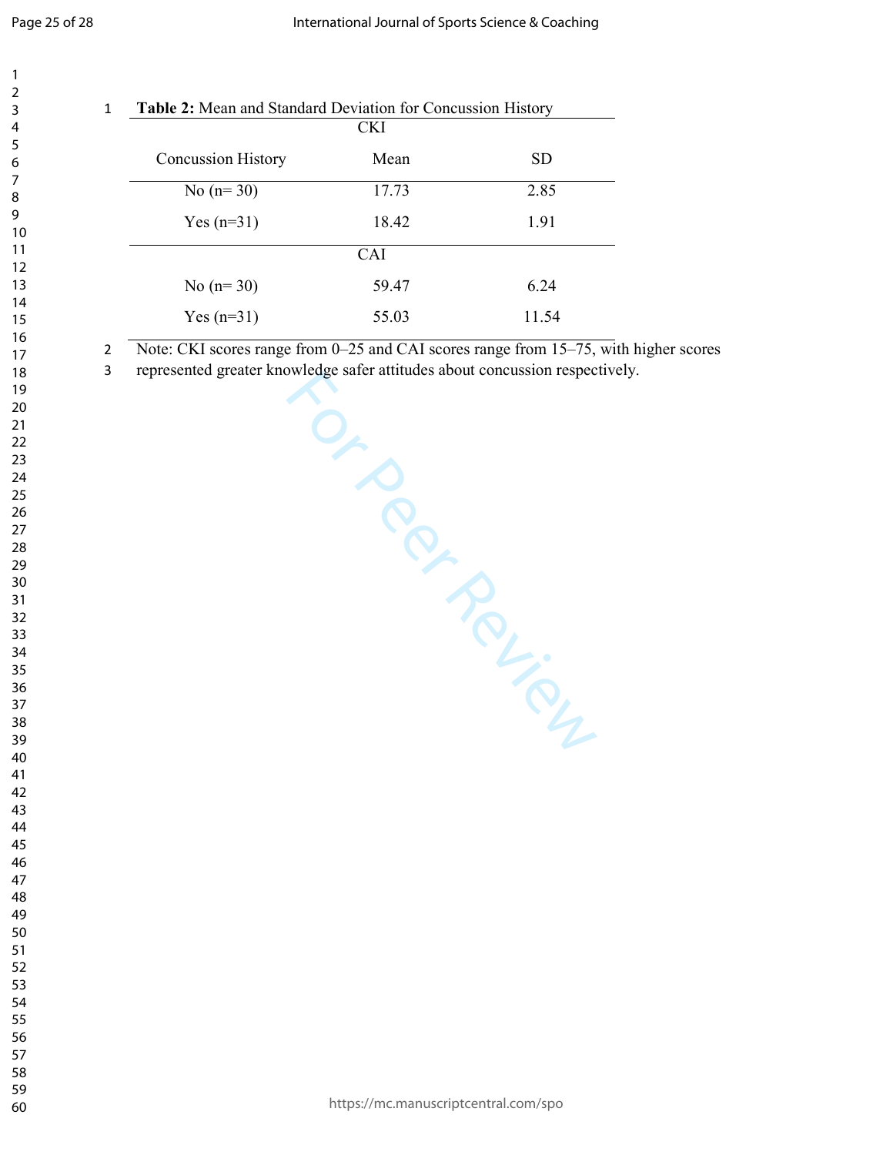|   |                                                                              | <b>CKI</b>     |            |
|---|------------------------------------------------------------------------------|----------------|------------|
|   | <b>Concussion History</b>                                                    | Mean           | ${\rm SD}$ |
|   | No $(n=30)$                                                                  | 17.73          | 2.85       |
|   | Yes $(n=31)$                                                                 | 18.42          | 1.91       |
|   |                                                                              | CAI            |            |
|   | No $(n=30)$                                                                  | 59.47          | 6.24       |
|   | Yes $(n=31)$                                                                 | 55.03          | 11.54      |
| 3 | represented greater knowledge safer attitudes about concussion respectively. | $\overline{a}$ |            |
|   |                                                                              |                | PRINCES    |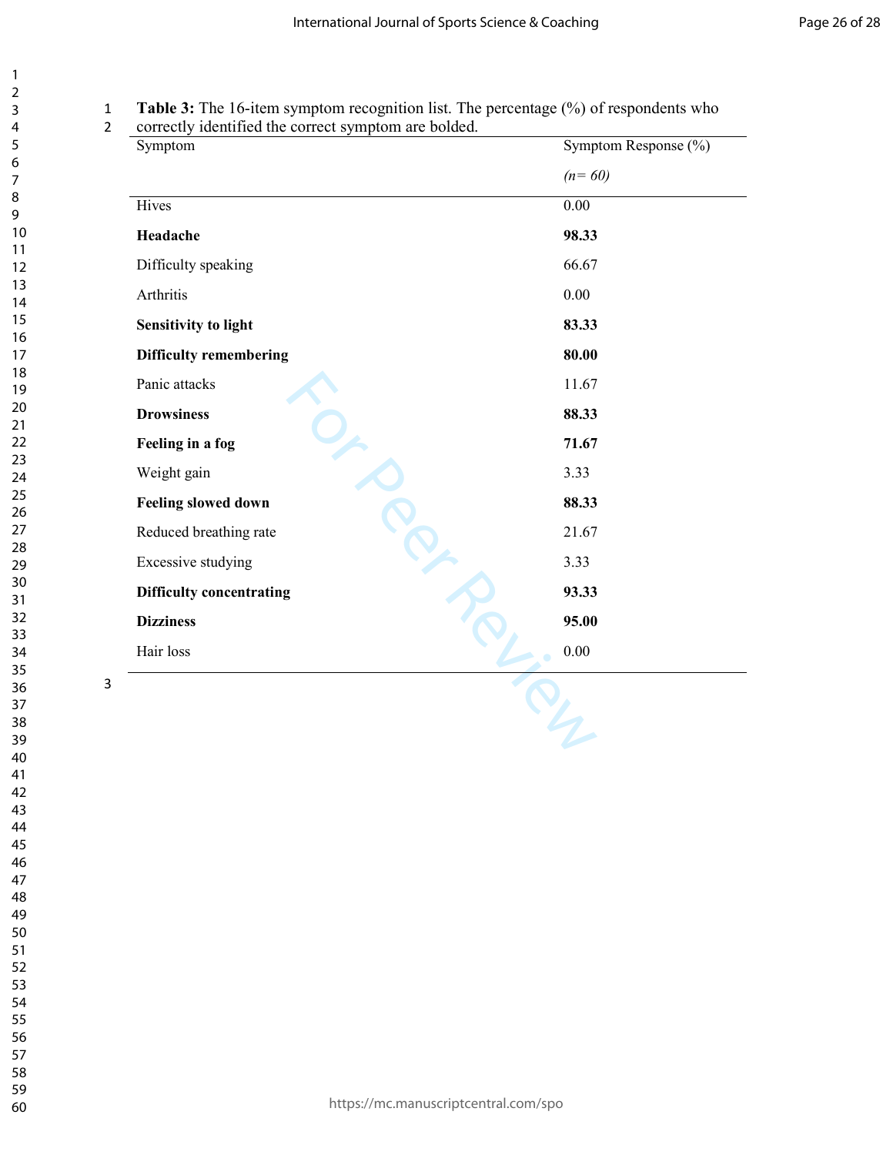# **Table 3:** The 16-item symptom recognition list. The percentage (%) of respondents who

correctly identified the correct symptom are bolded.

|                                 | Symptom Response (%) |
|---------------------------------|----------------------|
|                                 | $(n=60)$             |
| Hives                           | 0.00                 |
| Headache                        | 98.33                |
| Difficulty speaking             | 66.67                |
| Arthritis                       | $0.00\,$             |
| <b>Sensitivity to light</b>     | 83.33                |
| <b>Difficulty remembering</b>   | 80.00                |
| Panic attacks                   | 11.67                |
| <b>Drowsiness</b>               | 88.33                |
| Feeling in a fog                | 71.67                |
| Weight gain                     | 3.33                 |
| Feeling slowed down             | 88.33                |
| Reduced breathing rate          | 21.67                |
| <b>Excessive studying</b>       | 3.33                 |
| <b>Difficulty concentrating</b> | 93.33                |
| <b>Dizziness</b>                | 95.00                |
| Hair loss                       | 0.00                 |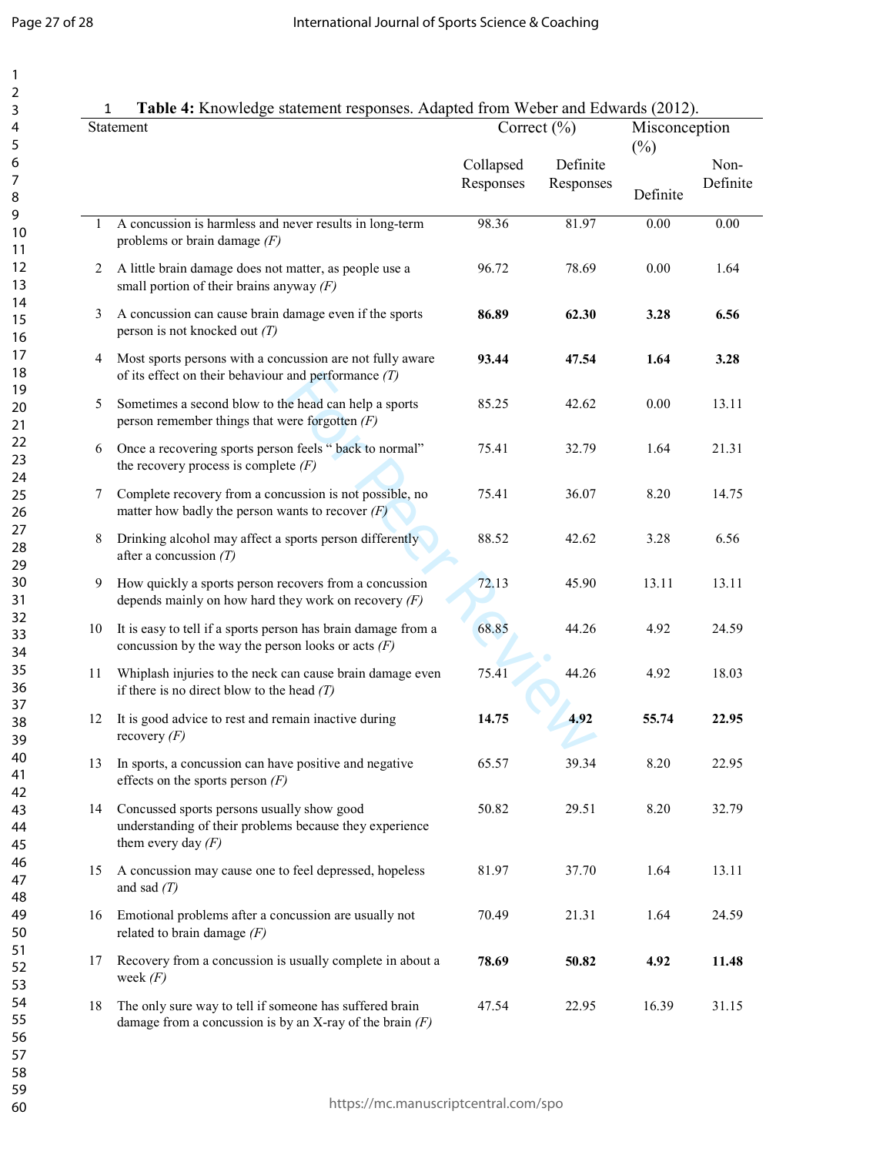$\mathbf{1}$  $\overline{2}$ 3

|    | Table 4: Knowledge statement responses. Adapted from Weber and Edwards (2012).<br>Statement                                   | Correct $(\% )$        |                       | Misconception<br>$(\%)$ |                  |
|----|-------------------------------------------------------------------------------------------------------------------------------|------------------------|-----------------------|-------------------------|------------------|
|    |                                                                                                                               | Collapsed<br>Responses | Definite<br>Responses | Definite                | Non-<br>Definite |
| 1  | A concussion is harmless and never results in long-term<br>problems or brain damage $(F)$                                     | 98.36                  | 81.97                 | 0.00                    | 0.00             |
| 2  | A little brain damage does not matter, as people use a<br>small portion of their brains anyway $(F)$                          | 96.72                  | 78.69                 | 0.00                    | 1.64             |
| 3  | A concussion can cause brain damage even if the sports<br>person is not knocked out $(T)$                                     | 86.89                  | 62.30                 | 3.28                    | 6.56             |
| 4  | Most sports persons with a concussion are not fully aware<br>of its effect on their behaviour and performance $(T)$           | 93.44                  | 47.54                 | 1.64                    | 3.28             |
| 5  | Sometimes a second blow to the head can help a sports<br>person remember things that were forgotten $(F)$                     | 85.25                  | 42.62                 | 0.00                    | 13.11            |
| 6  | Once a recovering sports person feels " back to normal"<br>the recovery process is complete $(F)$                             | 75.41                  | 32.79                 | 1.64                    | 21.31            |
| 7  | Complete recovery from a concussion is not possible, no<br>matter how badly the person wants to recover $(F)$                 | 75.41                  | 36.07                 | 8.20                    | 14.75            |
| 8  | Drinking alcohol may affect a sports person differently<br>after a concussion $(T)$                                           | 88.52                  | 42.62                 | 3.28                    | 6.56             |
| 9  | How quickly a sports person recovers from a concussion<br>depends mainly on how hard they work on recovery $(F)$              | 72.13                  | 45.90                 | 13.11                   | 13.11            |
| 10 | It is easy to tell if a sports person has brain damage from a<br>concussion by the way the person looks or acts $(F)$         | 68.85                  | 44.26                 | 4.92                    | 24.59            |
| 11 | Whiplash injuries to the neck can cause brain damage even<br>if there is no direct blow to the head $(T)$                     | 75.41                  | 44.26                 | 4.92                    | 18.03            |
| 12 | It is good advice to rest and remain inactive during<br>recovery $(F)$                                                        | 14.75                  | 4.92                  | 55.74                   | 22.95            |
| 13 | In sports, a concussion can have positive and negative<br>effects on the sports person $(F)$                                  | 65.57                  | 39.34                 | 8.20                    | 22.95            |
| 14 | Concussed sports persons usually show good<br>understanding of their problems because they experience<br>them every day $(F)$ | 50.82                  | 29.51                 | 8.20                    | 32.79            |
| 15 | A concussion may cause one to feel depressed, hopeless<br>and sad $(T)$                                                       | 81.97                  | 37.70                 | 1.64                    | 13.11            |
| 16 | Emotional problems after a concussion are usually not<br>related to brain damage $(F)$                                        | 70.49                  | 21.31                 | 1.64                    | 24.59            |
| 17 | Recovery from a concussion is usually complete in about a<br>week $(F)$                                                       | 78.69                  | 50.82                 | 4.92                    | 11.48            |
| 18 | The only sure way to tell if someone has suffered brain<br>damage from a concussion is by an X-ray of the brain $(F)$         | 47.54                  | 22.95                 | 16.39                   | 31.15            |